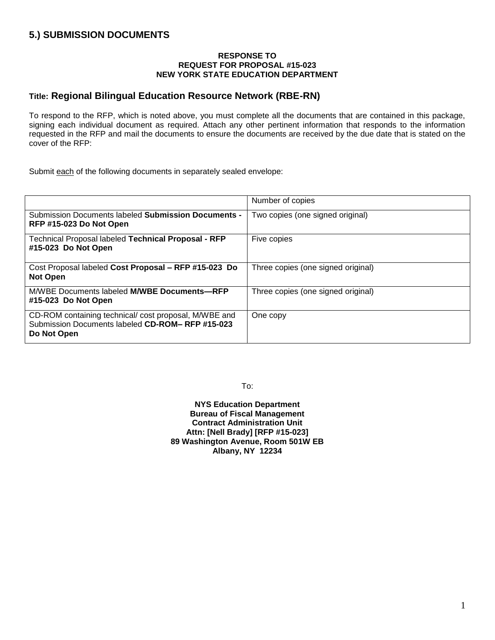# **5.) SUBMISSION DOCUMENTS**

#### **RESPONSE TO REQUEST FOR PROPOSAL #15-023 NEW YORK STATE EDUCATION DEPARTMENT**

# **Title: Regional Bilingual Education Resource Network (RBE-RN)**

To respond to the RFP, which is noted above, you must complete all the documents that are contained in this package, signing each individual document as required. Attach any other pertinent information that responds to the information requested in the RFP and mail the documents to ensure the documents are received by the due date that is stated on the cover of the RFP:

Submit each of the following documents in separately sealed envelope:

|                                                                                                                        | Number of copies                   |
|------------------------------------------------------------------------------------------------------------------------|------------------------------------|
| Submission Documents labeled Submission Documents -<br>RFP #15-023 Do Not Open                                         | Two copies (one signed original)   |
| Technical Proposal labeled Technical Proposal - RFP<br>#15-023 Do Not Open                                             | Five copies                        |
| Cost Proposal labeled Cost Proposal - RFP #15-023 Do<br><b>Not Open</b>                                                | Three copies (one signed original) |
| M/WBE Documents labeled <b>M/WBE Documents-RFP</b><br>#15-023 Do Not Open                                              | Three copies (one signed original) |
| CD-ROM containing technical/cost proposal, M/WBE and<br>Submission Documents labeled CD-ROM-RFP #15-023<br>Do Not Open | One copy                           |

To:

**NYS Education Department Bureau of Fiscal Management Contract Administration Unit Attn: [Nell Brady] [RFP #15-023] 89 Washington Avenue, Room 501W EB Albany, NY 12234**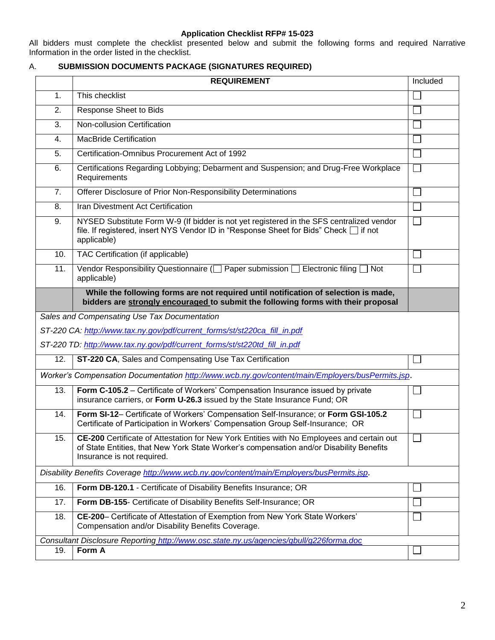#### **Application Checklist RFP# 15-023**

All bidders must complete the checklist presented below and submit the following forms and required Narrative Information in the order listed in the checklist.

# A. **SUBMISSION DOCUMENTS PACKAGE (SIGNATURES REQUIRED)**

|                                                                                           | <b>REQUIREMENT</b>                                                                                                                                                                                                 |        |
|-------------------------------------------------------------------------------------------|--------------------------------------------------------------------------------------------------------------------------------------------------------------------------------------------------------------------|--------|
| 1.                                                                                        | This checklist                                                                                                                                                                                                     |        |
| 2.                                                                                        | Response Sheet to Bids                                                                                                                                                                                             |        |
| 3.                                                                                        | Non-collusion Certification                                                                                                                                                                                        |        |
| 4.                                                                                        | <b>MacBride Certification</b>                                                                                                                                                                                      |        |
| 5.                                                                                        | Certification-Omnibus Procurement Act of 1992                                                                                                                                                                      |        |
| 6.                                                                                        | Certifications Regarding Lobbying; Debarment and Suspension; and Drug-Free Workplace<br>Requirements                                                                                                               |        |
| 7.                                                                                        | Offerer Disclosure of Prior Non-Responsibility Determinations                                                                                                                                                      |        |
| 8.                                                                                        | Iran Divestment Act Certification                                                                                                                                                                                  |        |
| 9.                                                                                        | NYSED Substitute Form W-9 (If bidder is not yet registered in the SFS centralized vendor<br>file. If registered, insert NYS Vendor ID in "Response Sheet for Bids" Check □ if not<br>applicable)                   |        |
| 10.                                                                                       | TAC Certification (if applicable)                                                                                                                                                                                  |        |
| 11.                                                                                       | Vendor Responsibility Questionnaire ( $\Box$ Paper submission $\Box$ Electronic filing $\Box$ Not<br>applicable)                                                                                                   |        |
|                                                                                           | While the following forms are not required until notification of selection is made,<br>bidders are strongly encouraged to submit the following forms with their proposal                                           |        |
|                                                                                           | Sales and Compensating Use Tax Documentation                                                                                                                                                                       |        |
|                                                                                           | ST-220 CA: http://www.tax.ny.gov/pdf/current_forms/st/st220ca_fill_in.pdf                                                                                                                                          |        |
|                                                                                           | ST-220 TD: http://www.tax.ny.gov/pdf/current_forms/st/st220td_fill_in.pdf                                                                                                                                          |        |
| 12.                                                                                       | ST-220 CA, Sales and Compensating Use Tax Certification                                                                                                                                                            |        |
|                                                                                           | Worker's Compensation Documentation http://www.wcb.ny.gov/content/main/Employers/busPermits.jsp.                                                                                                                   |        |
| 13.                                                                                       | Form C-105.2 – Certificate of Workers' Compensation Insurance issued by private<br>insurance carriers, or Form U-26.3 issued by the State Insurance Fund; OR                                                       |        |
| 14.                                                                                       | Form SI-12- Certificate of Workers' Compensation Self-Insurance; or Form GSI-105.2<br>Certificate of Participation in Workers' Compensation Group Self-Insurance; OR                                               |        |
| 15.                                                                                       | CE-200 Certificate of Attestation for New York Entities with No Employees and certain out<br>of State Entities, that New York State Worker's compensation and/or Disability Benefits<br>Insurance is not required. | $\Box$ |
| Disability Benefits Coverage http://www.wcb.ny.gov/content/main/Employers/busPermits.jsp. |                                                                                                                                                                                                                    |        |
| 16.                                                                                       | Form DB-120.1 - Certificate of Disability Benefits Insurance; OR                                                                                                                                                   |        |
| 17.                                                                                       | Form DB-155- Certificate of Disability Benefits Self-Insurance; OR                                                                                                                                                 |        |
| 18.                                                                                       | CE-200- Certificate of Attestation of Exemption from New York State Workers'<br>Compensation and/or Disability Benefits Coverage.                                                                                  |        |
|                                                                                           | Consultant Disclosure Reporting http://www.osc.state.ny.us/agencies/gbull/g226forma.doc                                                                                                                            |        |
| 19.                                                                                       | Form A                                                                                                                                                                                                             |        |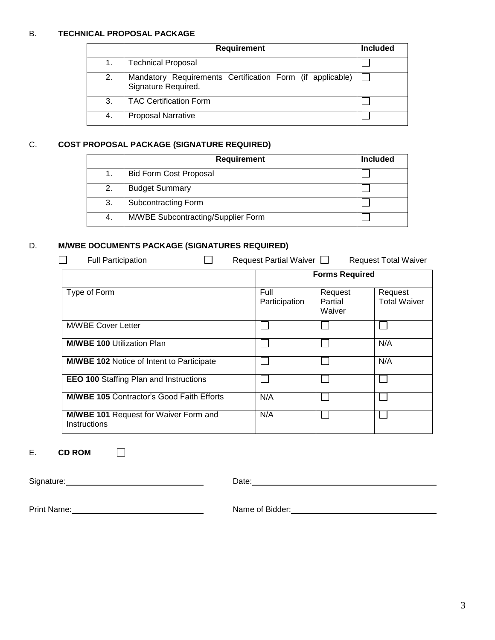## B. **TECHNICAL PROPOSAL PACKAGE**

|    | <b>Requirement</b>                                                               |  |
|----|----------------------------------------------------------------------------------|--|
|    | <b>Technical Proposal</b>                                                        |  |
| 2. | Mandatory Requirements Certification Form (if applicable)<br>Signature Required. |  |
| 3. | <b>TAC Certification Form</b>                                                    |  |
| 4. | <b>Proposal Narrative</b>                                                        |  |

## C. **COST PROPOSAL PACKAGE (SIGNATURE REQUIRED)**

|     | <b>Requirement</b>                 | <b>Included</b> |
|-----|------------------------------------|-----------------|
|     | <b>Bid Form Cost Proposal</b>      |                 |
| 2.  | <b>Budget Summary</b>              |                 |
| 3.  | Subcontracting Form                |                 |
| -4. | M/WBE Subcontracting/Supplier Form |                 |

# D. **M/WBE DOCUMENTS PACKAGE (SIGNATURES REQUIRED)**

| Request Partial Waiver $\Box$<br><b>Full Participation</b><br><b>Request Total Waiver</b> |                       |                              |                                |  |
|-------------------------------------------------------------------------------------------|-----------------------|------------------------------|--------------------------------|--|
|                                                                                           |                       | <b>Forms Required</b>        |                                |  |
| Type of Form                                                                              | Full<br>Participation | Request<br>Partial<br>Waiver | Request<br><b>Total Waiver</b> |  |
| <b>M/WBE Cover Letter</b>                                                                 |                       |                              |                                |  |
| <b>M/WBE 100 Utilization Plan</b>                                                         |                       |                              | N/A                            |  |
| <b>M/WBE 102 Notice of Intent to Participate</b>                                          |                       |                              | N/A                            |  |
| <b>EEO 100 Staffing Plan and Instructions</b>                                             |                       |                              |                                |  |
| <b>M/WBE 105 Contractor's Good Faith Efforts</b>                                          | N/A                   |                              |                                |  |
| <b>M/WBE 101 Request for Waiver Form and</b><br>Instructions                              | N/A                   |                              |                                |  |

## E. **CD ROM**

| Signature: | Date: |
|------------|-------|
|            |       |

Print Name: <u>Name:</u> Name of Bidder: Name of Bidder: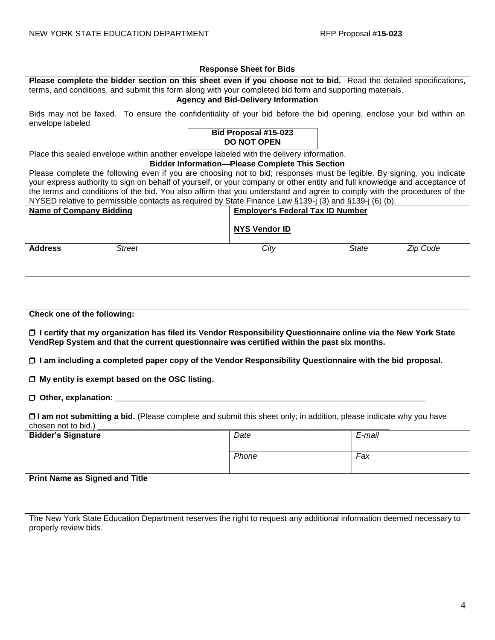| <b>Response Sheet for Bids</b>                                                                                                                                                                                                    |                                                        |                          |  |
|-----------------------------------------------------------------------------------------------------------------------------------------------------------------------------------------------------------------------------------|--------------------------------------------------------|--------------------------|--|
| Please complete the bidder section on this sheet even if you choose not to bid. Read the detailed specifications,                                                                                                                 |                                                        |                          |  |
| terms, and conditions, and submit this form along with your completed bid form and supporting materials.                                                                                                                          |                                                        |                          |  |
|                                                                                                                                                                                                                                   | <b>Agency and Bid-Delivery Information</b>             |                          |  |
| Bids may not be faxed. To ensure the confidentiality of your bid before the bid opening, enclose your bid within an                                                                                                               |                                                        |                          |  |
| envelope labeled                                                                                                                                                                                                                  |                                                        |                          |  |
|                                                                                                                                                                                                                                   | Bid Proposal #15-023                                   |                          |  |
|                                                                                                                                                                                                                                   | <b>DO NOT OPEN</b>                                     |                          |  |
| Place this sealed envelope within another envelope labeled with the delivery information.                                                                                                                                         |                                                        |                          |  |
|                                                                                                                                                                                                                                   | <b>Bidder Information-Please Complete This Section</b> |                          |  |
| Please complete the following even if you are choosing not to bid; responses must be legible. By signing, you indicate                                                                                                            |                                                        |                          |  |
| your express authority to sign on behalf of yourself, or your company or other entity and full knowledge and acceptance of                                                                                                        |                                                        |                          |  |
| the terms and conditions of the bid. You also affirm that you understand and agree to comply with the procedures of the<br>NYSED relative to permissible contacts as required by State Finance Law §139-j (3) and §139-j (6) (b). |                                                        |                          |  |
| <b>Name of Company Bidding</b>                                                                                                                                                                                                    | <b>Employer's Federal Tax ID Number</b>                |                          |  |
|                                                                                                                                                                                                                                   |                                                        |                          |  |
|                                                                                                                                                                                                                                   | <b>NYS Vendor ID</b>                                   |                          |  |
|                                                                                                                                                                                                                                   |                                                        |                          |  |
| <b>Address</b><br><b>Street</b>                                                                                                                                                                                                   | City                                                   | <b>State</b><br>Zip Code |  |
|                                                                                                                                                                                                                                   |                                                        |                          |  |
|                                                                                                                                                                                                                                   |                                                        |                          |  |
|                                                                                                                                                                                                                                   |                                                        |                          |  |
|                                                                                                                                                                                                                                   |                                                        |                          |  |
|                                                                                                                                                                                                                                   |                                                        |                          |  |
| Check one of the following:                                                                                                                                                                                                       |                                                        |                          |  |
|                                                                                                                                                                                                                                   |                                                        |                          |  |
| O I certify that my organization has filed its Vendor Responsibility Questionnaire online via the New York State                                                                                                                  |                                                        |                          |  |
| VendRep System and that the current questionnaire was certified within the past six months.                                                                                                                                       |                                                        |                          |  |
|                                                                                                                                                                                                                                   |                                                        |                          |  |
| □ I am including a completed paper copy of the Vendor Responsibility Questionnaire with the bid proposal.                                                                                                                         |                                                        |                          |  |
| $\Box$ My entity is exempt based on the OSC listing.                                                                                                                                                                              |                                                        |                          |  |
|                                                                                                                                                                                                                                   |                                                        |                          |  |
| $\Box$ Other, explanation: $\Box$                                                                                                                                                                                                 |                                                        |                          |  |
|                                                                                                                                                                                                                                   |                                                        |                          |  |
| □ I am not submitting a bid. (Please complete and submit this sheet only; in addition, please indicate why you have                                                                                                               |                                                        |                          |  |
| chosen not to bid.)                                                                                                                                                                                                               |                                                        |                          |  |
| <b>Bidder's Signature</b>                                                                                                                                                                                                         | Date                                                   | E-mail                   |  |
|                                                                                                                                                                                                                                   |                                                        |                          |  |
|                                                                                                                                                                                                                                   | Phone                                                  | Fax                      |  |
|                                                                                                                                                                                                                                   |                                                        |                          |  |
| <b>Print Name as Signed and Title</b>                                                                                                                                                                                             |                                                        |                          |  |
|                                                                                                                                                                                                                                   |                                                        |                          |  |
|                                                                                                                                                                                                                                   |                                                        |                          |  |
|                                                                                                                                                                                                                                   |                                                        |                          |  |
| The New York State Education Department reserves the right to request any additional information deemed necessary to                                                                                                              |                                                        |                          |  |
| properly review bids.                                                                                                                                                                                                             |                                                        |                          |  |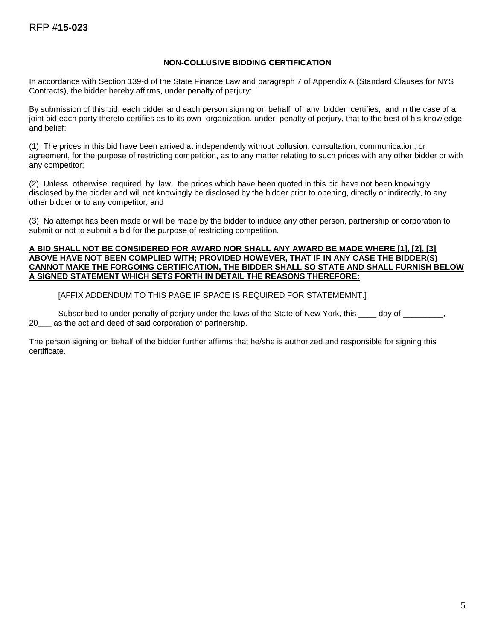## **NON-COLLUSIVE BIDDING CERTIFICATION**

In accordance with Section 139-d of the State Finance Law and paragraph 7 of Appendix A (Standard Clauses for NYS Contracts), the bidder hereby affirms, under penalty of perjury:

By submission of this bid, each bidder and each person signing on behalf of any bidder certifies, and in the case of a joint bid each party thereto certifies as to its own organization, under penalty of perjury, that to the best of his knowledge and belief:

(1) The prices in this bid have been arrived at independently without collusion, consultation, communication, or agreement, for the purpose of restricting competition, as to any matter relating to such prices with any other bidder or with any competitor;

(2) Unless otherwise required by law, the prices which have been quoted in this bid have not been knowingly disclosed by the bidder and will not knowingly be disclosed by the bidder prior to opening, directly or indirectly, to any other bidder or to any competitor; and

(3) No attempt has been made or will be made by the bidder to induce any other person, partnership or corporation to submit or not to submit a bid for the purpose of restricting competition.

#### **A BID SHALL NOT BE CONSIDERED FOR AWARD NOR SHALL ANY AWARD BE MADE WHERE [1], [2], [3] ABOVE HAVE NOT BEEN COMPLIED WITH; PROVIDED HOWEVER, THAT IF IN ANY CASE THE BIDDER(S) CANNOT MAKE THE FORGOING CERTIFICATION, THE BIDDER SHALL SO STATE AND SHALL FURNISH BELOW A SIGNED STATEMENT WHICH SETS FORTH IN DETAIL THE REASONS THEREFORE:**

[AFFIX ADDENDUM TO THIS PAGE IF SPACE IS REQUIRED FOR STATEMEMNT.]

Subscribed to under penalty of perjury under the laws of the State of New York, this \_\_\_\_ day of \_\_\_\_\_\_\_\_\_, 20\_\_\_ as the act and deed of said corporation of partnership.

The person signing on behalf of the bidder further affirms that he/she is authorized and responsible for signing this certificate.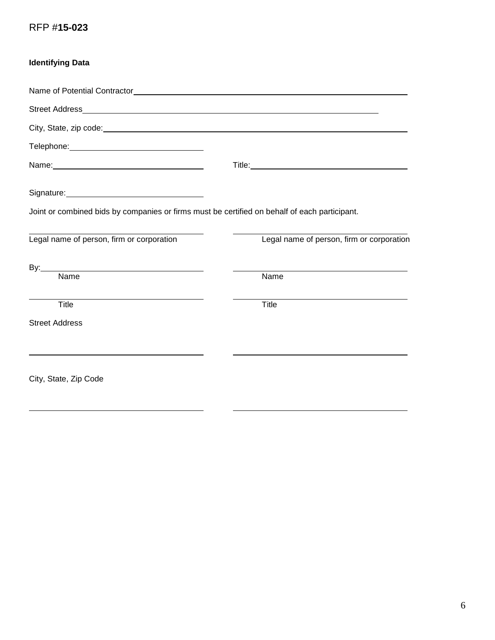# RFP #**15-023**

| <b>Identifying Data</b>                                                                                                                                                                                                        |                                           |
|--------------------------------------------------------------------------------------------------------------------------------------------------------------------------------------------------------------------------------|-------------------------------------------|
|                                                                                                                                                                                                                                |                                           |
|                                                                                                                                                                                                                                |                                           |
|                                                                                                                                                                                                                                |                                           |
|                                                                                                                                                                                                                                |                                           |
|                                                                                                                                                                                                                                | Title: <u>www.community.community.com</u> |
| Signature: Management Contract Contract Contract Contract Contract Contract Contract Contract Contract Contract Contract Contract Contract Contract Contract Contract Contract Contract Contract Contract Contract Contract Co |                                           |
| Joint or combined bids by companies or firms must be certified on behalf of each participant.                                                                                                                                  |                                           |
| Legal name of person, firm or corporation                                                                                                                                                                                      | Legal name of person, firm or corporation |
| By: Name                                                                                                                                                                                                                       |                                           |
|                                                                                                                                                                                                                                | Name                                      |
| Title                                                                                                                                                                                                                          | Title                                     |
| <b>Street Address</b>                                                                                                                                                                                                          |                                           |
|                                                                                                                                                                                                                                |                                           |
| City, State, Zip Code                                                                                                                                                                                                          |                                           |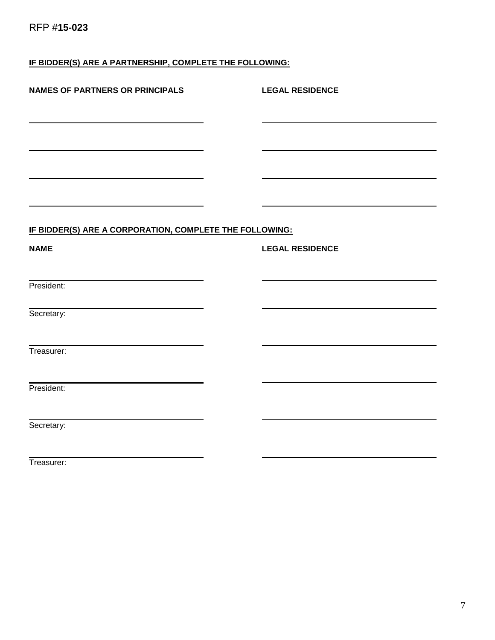# **IF BIDDER(S) ARE A PARTNERSHIP, COMPLETE THE FOLLOWING:**

| <b>NAMES OF PARTNERS OR PRINCIPALS</b>                  | <b>LEGAL RESIDENCE</b> |
|---------------------------------------------------------|------------------------|
|                                                         |                        |
|                                                         |                        |
|                                                         |                        |
| IF BIDDER(S) ARE A CORPORATION, COMPLETE THE FOLLOWING: |                        |
| <b>NAME</b>                                             | <b>LEGAL RESIDENCE</b> |
|                                                         |                        |
| President:                                              |                        |
| Secretary:                                              |                        |
| Treasurer:                                              |                        |
| President:                                              |                        |
| Secretary:                                              |                        |

Treasurer: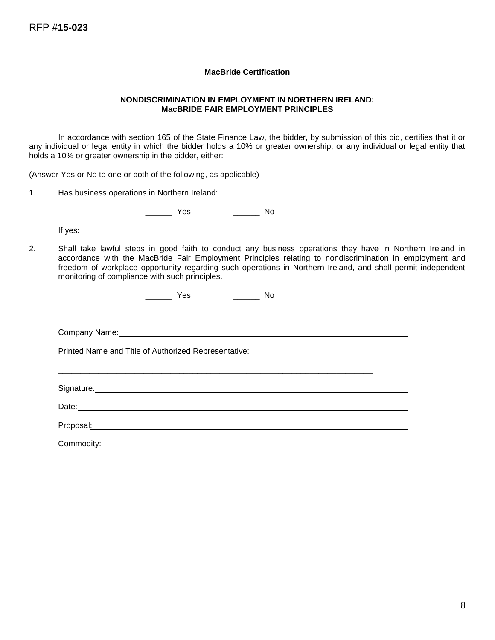#### **MacBride Certification**

#### **NONDISCRIMINATION IN EMPLOYMENT IN NORTHERN IRELAND: MacBRIDE FAIR EMPLOYMENT PRINCIPLES**

In accordance with section 165 of the State Finance Law, the bidder, by submission of this bid, certifies that it or any individual or legal entity in which the bidder holds a 10% or greater ownership, or any individual or legal entity that holds a 10% or greater ownership in the bidder, either:

(Answer Yes or No to one or both of the following, as applicable)

1. Has business operations in Northern Ireland:

\_\_\_\_\_\_ Yes \_\_\_\_\_\_ No

If yes:

2. Shall take lawful steps in good faith to conduct any business operations they have in Northern Ireland in accordance with the MacBride Fair Employment Principles relating to nondiscrimination in employment and freedom of workplace opportunity regarding such operations in Northern Ireland, and shall permit independent monitoring of compliance with such principles.

\_\_\_\_\_\_\_\_\_\_\_\_\_\_\_\_\_\_\_\_\_\_\_\_\_\_\_\_\_\_\_\_\_\_\_\_\_\_\_\_\_\_\_\_\_\_\_\_\_\_\_\_\_\_\_\_\_\_\_\_\_\_\_\_\_\_\_\_\_\_

| ı<br>$\sim$<br>$\overline{\phantom{a}}$<br>$ -$ |  |
|-------------------------------------------------|--|
|-------------------------------------------------|--|

Company Name:

Printed Name and Title of Authorized Representative:

Signature: **Signature: Signature: Signature: Signature: Signature: Signature: Signature: Signature: Signature: Signature: Signature: Signature: Signature: Signature: Signature: Signature: Si** 

Date: **Date: Date: Date: Date: Date: Date: Date: Date: Date: Date: Date: Date: Date: Date: Date: Date: Date: Date: Date: Date: Date: Date: Date: Date: Date: Date: Date:**

Proposal:

Commodity: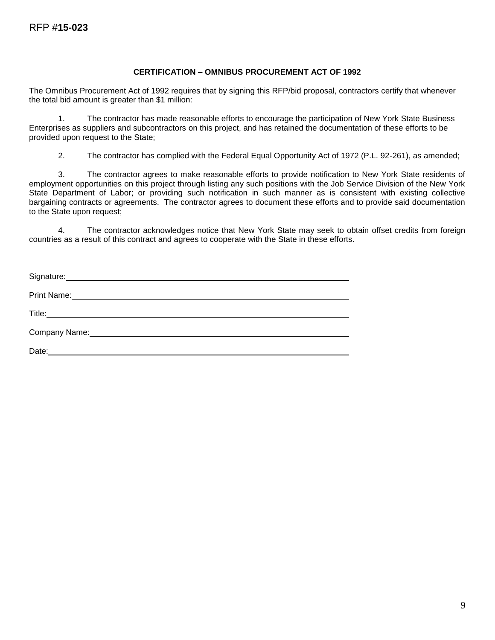#### **CERTIFICATION – OMNIBUS PROCUREMENT ACT OF 1992**

The Omnibus Procurement Act of 1992 requires that by signing this RFP/bid proposal, contractors certify that whenever the total bid amount is greater than \$1 million:

1. The contractor has made reasonable efforts to encourage the participation of New York State Business Enterprises as suppliers and subcontractors on this project, and has retained the documentation of these efforts to be provided upon request to the State;

2. The contractor has complied with the Federal Equal Opportunity Act of 1972 (P.L. 92-261), as amended;

3. The contractor agrees to make reasonable efforts to provide notification to New York State residents of employment opportunities on this project through listing any such positions with the Job Service Division of the New York State Department of Labor; or providing such notification in such manner as is consistent with existing collective bargaining contracts or agreements. The contractor agrees to document these efforts and to provide said documentation to the State upon request;

4. The contractor acknowledges notice that New York State may seek to obtain offset credits from foreign countries as a result of this contract and agrees to cooperate with the State in these efforts.

| Signature: <u>Contract Communication</u> |
|------------------------------------------|
|                                          |
|                                          |
|                                          |
|                                          |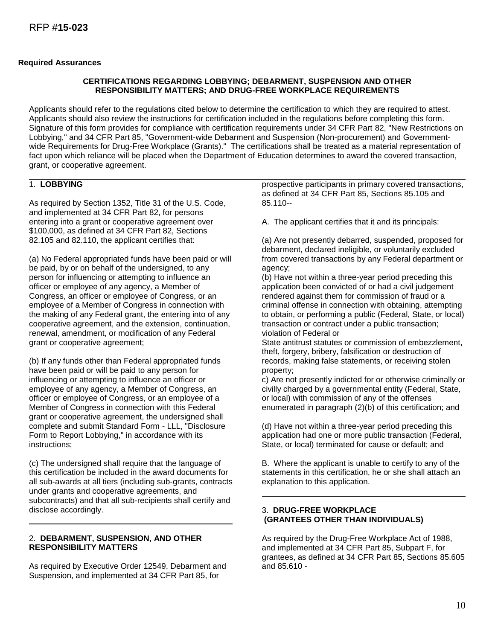#### **Required Assurances**

#### **CERTIFICATIONS REGARDING LOBBYING; DEBARMENT, SUSPENSION AND OTHER RESPONSIBILITY MATTERS; AND DRUG-FREE WORKPLACE REQUIREMENTS**

Applicants should refer to the regulations cited below to determine the certification to which they are required to attest. Applicants should also review the instructions for certification included in the regulations before completing this form. Signature of this form provides for compliance with certification requirements under 34 CFR Part 82, "New Restrictions on Lobbying," and 34 CFR Part 85, "Government-wide Debarment and Suspension (Non-procurement) and Governmentwide Requirements for Drug-Free Workplace (Grants)." The certifications shall be treated as a material representation of fact upon which reliance will be placed when the Department of Education determines to award the covered transaction, grant, or cooperative agreement.

#### 1. **LOBBYING**

As required by Section 1352, Title 31 of the U.S. Code, and implemented at 34 CFR Part 82, for persons entering into a grant or cooperative agreement over \$100,000, as defined at 34 CFR Part 82, Sections 82.105 and 82.110, the applicant certifies that:

(a) No Federal appropriated funds have been paid or will be paid, by or on behalf of the undersigned, to any person for influencing or attempting to influence an officer or employee of any agency, a Member of Congress, an officer or employee of Congress, or an employee of a Member of Congress in connection with the making of any Federal grant, the entering into of any cooperative agreement, and the extension, continuation, renewal, amendment, or modification of any Federal grant or cooperative agreement;

(b) If any funds other than Federal appropriated funds have been paid or will be paid to any person for influencing or attempting to influence an officer or employee of any agency, a Member of Congress, an officer or employee of Congress, or an employee of a Member of Congress in connection with this Federal grant or cooperative agreement, the undersigned shall complete and submit Standard Form - LLL, "Disclosure Form to Report Lobbying," in accordance with its instructions;

(c) The undersigned shall require that the language of this certification be included in the award documents for all sub-awards at all tiers (including sub-grants, contracts under grants and cooperative agreements, and subcontracts) and that all sub-recipients shall certify and disclose accordingly.

#### 2. **DEBARMENT, SUSPENSION, AND OTHER RESPONSIBILITY MATTERS**

As required by Executive Order 12549, Debarment and Suspension, and implemented at 34 CFR Part 85, for

prospective participants in primary covered transactions, as defined at 34 CFR Part 85, Sections 85.105 and 85.110--

A. The applicant certifies that it and its principals:

(a) Are not presently debarred, suspended, proposed for debarment, declared ineligible, or voluntarily excluded from covered transactions by any Federal department or agency;

(b) Have not within a three-year period preceding this application been convicted of or had a civil judgement rendered against them for commission of fraud or a criminal offense in connection with obtaining, attempting to obtain, or performing a public (Federal, State, or local) transaction or contract under a public transaction; violation of Federal or

State antitrust statutes or commission of embezzlement, theft, forgery, bribery, falsification or destruction of records, making false statements, or receiving stolen property;

c) Are not presently indicted for or otherwise criminally or civilly charged by a governmental entity (Federal, State, or local) with commission of any of the offenses enumerated in paragraph (2)(b) of this certification; and

(d) Have not within a three-year period preceding this application had one or more public transaction (Federal, State, or local) terminated for cause or default; and

B. Where the applicant is unable to certify to any of the statements in this certification, he or she shall attach an explanation to this application.

#### 3. **DRUG-FREE WORKPLACE (GRANTEES OTHER THAN INDIVIDUALS)**

As required by the Drug-Free Workplace Act of 1988, and implemented at 34 CFR Part 85, Subpart F, for grantees, as defined at 34 CFR Part 85, Sections 85.605 and 85.610 -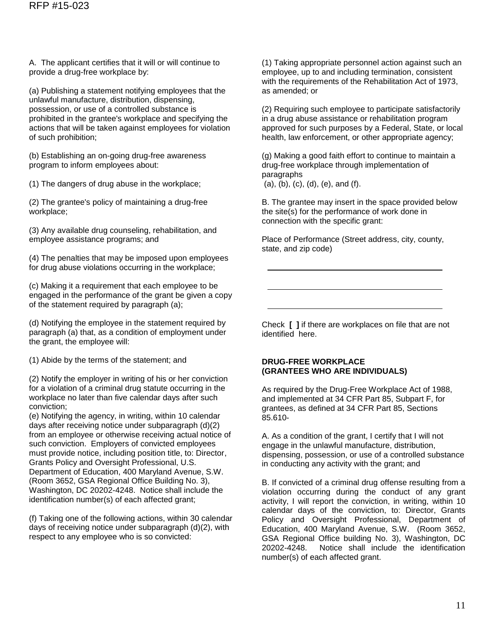A. The applicant certifies that it will or will continue to provide a drug-free workplace by:

(a) Publishing a statement notifying employees that the unlawful manufacture, distribution, dispensing, possession, or use of a controlled substance is prohibited in the grantee's workplace and specifying the actions that will be taken against employees for violation of such prohibition;

(b) Establishing an on-going drug-free awareness program to inform employees about:

(1) The dangers of drug abuse in the workplace;

(2) The grantee's policy of maintaining a drug-free workplace;

(3) Any available drug counseling, rehabilitation, and employee assistance programs; and

(4) The penalties that may be imposed upon employees for drug abuse violations occurring in the workplace;

(c) Making it a requirement that each employee to be engaged in the performance of the grant be given a copy of the statement required by paragraph (a);

(d) Notifying the employee in the statement required by paragraph (a) that, as a condition of employment under the grant, the employee will:

(1) Abide by the terms of the statement; and

(2) Notify the employer in writing of his or her conviction for a violation of a criminal drug statute occurring in the workplace no later than five calendar days after such conviction;

(e) Notifying the agency, in writing, within 10 calendar days after receiving notice under subparagraph (d)(2) from an employee or otherwise receiving actual notice of such conviction. Employers of convicted employees must provide notice, including position title, to: Director, Grants Policy and Oversight Professional, U.S. Department of Education, 400 Maryland Avenue, S.W. (Room 3652, GSA Regional Office Building No. 3), Washington, DC 20202-4248. Notice shall include the identification number(s) of each affected grant;

(f) Taking one of the following actions, within 30 calendar days of receiving notice under subparagraph (d)(2), with respect to any employee who is so convicted:

(1) Taking appropriate personnel action against such an employee, up to and including termination, consistent with the requirements of the Rehabilitation Act of 1973. as amended; or

(2) Requiring such employee to participate satisfactorily in a drug abuse assistance or rehabilitation program approved for such purposes by a Federal, State, or local health, law enforcement, or other appropriate agency;

(g) Making a good faith effort to continue to maintain a drug-free workplace through implementation of paragraphs (a), (b), (c), (d), (e), and (f).

B. The grantee may insert in the space provided below the site(s) for the performance of work done in connection with the specific grant:

Place of Performance (Street address, city, county, state, and zip code)

Check **[ ]** if there are workplaces on file that are not identified here.

## **DRUG-FREE WORKPLACE (GRANTEES WHO ARE INDIVIDUALS)**

As required by the Drug-Free Workplace Act of 1988, and implemented at 34 CFR Part 85, Subpart F, for grantees, as defined at 34 CFR Part 85, Sections 85.610-

A. As a condition of the grant, I certify that I will not engage in the unlawful manufacture, distribution, dispensing, possession, or use of a controlled substance in conducting any activity with the grant; and

B. If convicted of a criminal drug offense resulting from a violation occurring during the conduct of any grant activity, I will report the conviction, in writing, within 10 calendar days of the conviction, to: Director, Grants Policy and Oversight Professional, Department of Education, 400 Maryland Avenue, S.W. (Room 3652, GSA Regional Office building No. 3), Washington, DC 20202-4248. Notice shall include the identification number(s) of each affected grant.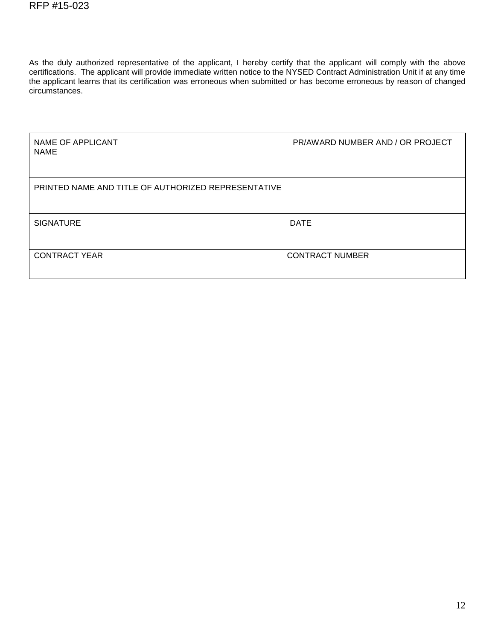As the duly authorized representative of the applicant, I hereby certify that the applicant will comply with the above certifications. The applicant will provide immediate written notice to the NYSED Contract Administration Unit if at any time the applicant learns that its certification was erroneous when submitted or has become erroneous by reason of changed circumstances.

| NAME OF APPLICANT<br><b>NAME</b>                    | PR/AWARD NUMBER AND / OR PROJECT |
|-----------------------------------------------------|----------------------------------|
| PRINTED NAME AND TITLE OF AUTHORIZED REPRESENTATIVE |                                  |
| <b>SIGNATURE</b>                                    | <b>DATE</b>                      |
| <b>CONTRACT YEAR</b>                                | <b>CONTRACT NUMBER</b>           |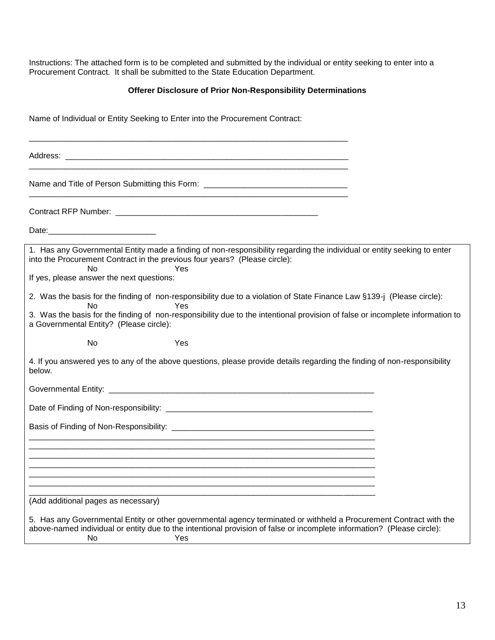Instructions: The attached form is to be completed and submitted by the individual or entity seeking to enter into a Procurement Contract. It shall be submitted to the State Education Department.

## **Offerer Disclosure of Prior Non-Responsibility Determinations**

Name of Individual or Entity Seeking to Enter into the Procurement Contract:

\_\_\_\_\_\_\_\_\_\_\_\_\_\_\_\_\_\_\_\_\_\_\_\_\_\_\_\_\_\_\_\_\_\_\_\_\_\_\_\_\_\_\_\_\_\_\_\_\_\_\_\_\_\_\_\_\_\_\_\_\_\_\_\_\_\_\_\_\_\_\_

\_\_\_\_\_\_\_\_\_\_\_\_\_\_\_\_\_\_\_\_\_\_\_\_\_\_\_\_\_\_\_\_\_\_\_\_\_\_\_\_\_\_\_\_\_\_\_\_\_\_\_\_\_\_\_\_\_\_\_\_\_\_\_\_\_\_\_\_\_\_\_

\_\_\_\_\_\_\_\_\_\_\_\_\_\_\_\_\_\_\_\_\_\_\_\_\_\_\_\_\_\_\_\_\_\_\_\_\_\_\_\_\_\_\_\_\_\_\_\_\_\_\_\_\_\_\_\_\_\_\_\_\_\_\_\_\_\_\_\_\_\_\_

Address: \_\_\_\_\_\_\_\_\_\_\_\_\_\_\_\_\_\_\_\_\_\_\_\_\_\_\_\_\_\_\_\_\_\_\_\_\_\_\_\_\_\_\_\_\_\_\_\_\_\_\_\_\_\_\_\_\_\_\_\_\_\_\_

Name and Title of Person Submitting this Form: \_\_\_\_\_\_\_\_\_\_\_\_\_\_\_\_\_\_\_\_\_\_\_\_\_\_\_\_\_\_\_\_\_

Contract RFP Number: \_\_\_\_\_\_\_\_\_\_\_\_\_\_\_\_\_\_\_\_\_\_\_\_\_\_\_\_\_\_\_\_\_\_\_\_\_\_\_\_\_\_\_\_\_

Date:

1. Has any Governmental Entity made a finding of non-responsibility regarding the individual or entity seeking to enter into the Procurement Contract in the previous four years? (Please circle): No Yes If yes, please answer the next questions: 2. Was the basis for the finding of non-responsibility due to a violation of State Finance Law §139-j (Please circle): No Yes 3. Was the basis for the finding of non-responsibility due to the intentional provision of false or incomplete information to a Governmental Entity? (Please circle): No Yes 4. If you answered yes to any of the above questions, please provide details regarding the finding of non-responsibility below. Governmental Entity: **Example 20** and the set of the set of the set of the set of the set of the set of the set of the set of the set of the set of the set of the set of the set of the set of the set of the set of the set Date of Finding of Non-responsibility: \_\_\_\_\_\_\_\_\_\_\_\_\_\_\_\_\_\_\_\_\_\_\_\_\_\_\_\_\_\_\_\_\_\_\_\_\_\_\_\_\_\_\_\_\_\_ Basis of Finding of Non-Responsibility: \_\_\_\_\_\_\_\_\_\_\_\_\_\_\_\_\_\_\_\_\_\_\_\_\_\_\_\_\_\_\_\_\_\_\_\_\_\_\_\_\_\_\_\_\_\_\_\_\_\_\_\_\_\_\_\_\_\_\_\_\_\_\_\_\_\_\_\_\_\_\_\_\_\_\_\_\_ \_\_\_\_\_\_\_\_\_\_\_\_\_\_\_\_\_\_\_\_\_\_\_\_\_\_\_\_\_\_\_\_\_\_\_\_\_\_\_\_\_\_\_\_\_\_\_\_\_\_\_\_\_\_\_\_\_\_\_\_\_\_\_\_\_\_\_\_\_\_\_\_\_\_\_\_\_ \_\_\_\_\_\_\_\_\_\_\_\_\_\_\_\_\_\_\_\_\_\_\_\_\_\_\_\_\_\_\_\_\_\_\_\_\_\_\_\_\_\_\_\_\_\_\_\_\_\_\_\_\_\_\_\_\_\_\_\_\_\_\_\_\_\_\_\_\_\_\_\_\_\_\_\_\_

(Add additional pages as necessary)

5. Has any Governmental Entity or other governmental agency terminated or withheld a Procurement Contract with the above-named individual or entity due to the intentional provision of false or incomplete information? (Please circle): No Yes

\_\_\_\_\_\_\_\_\_\_\_\_\_\_\_\_\_\_\_\_\_\_\_\_\_\_\_\_\_\_\_\_\_\_\_\_\_\_\_\_\_\_\_\_\_\_\_\_\_\_\_\_\_\_\_\_\_\_\_\_\_\_\_\_\_\_\_\_\_\_\_\_\_\_\_\_\_ \_\_\_\_\_\_\_\_\_\_\_\_\_\_\_\_\_\_\_\_\_\_\_\_\_\_\_\_\_\_\_\_\_\_\_\_\_\_\_\_\_\_\_\_\_\_\_\_\_\_\_\_\_\_\_\_\_\_\_\_\_\_\_\_\_\_\_\_\_\_\_\_\_\_\_\_\_ \_\_\_\_\_\_\_\_\_\_\_\_\_\_\_\_\_\_\_\_\_\_\_\_\_\_\_\_\_\_\_\_\_\_\_\_\_\_\_\_\_\_\_\_\_\_\_\_\_\_\_\_\_\_\_\_\_\_\_\_\_\_\_\_\_\_\_\_\_\_\_\_\_\_\_\_\_ \_\_\_\_\_\_\_\_\_\_\_\_\_\_\_\_\_\_\_\_\_\_\_\_\_\_\_\_\_\_\_\_\_\_\_\_\_\_\_\_\_\_\_\_\_\_\_\_\_\_\_\_\_\_\_\_\_\_\_\_\_\_\_\_\_\_\_\_\_\_\_\_\_\_\_\_\_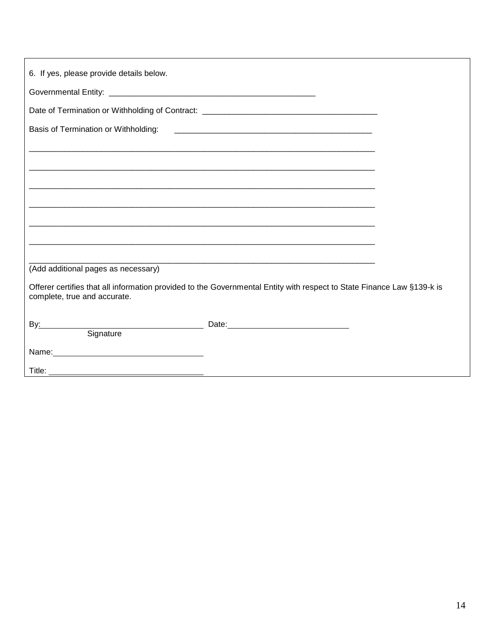| 6. If yes, please provide details below.                                                                                                               |  |
|--------------------------------------------------------------------------------------------------------------------------------------------------------|--|
|                                                                                                                                                        |  |
| Date of Termination or Withholding of Contract: _________________________________                                                                      |  |
| Basis of Termination or Withholding:                                                                                                                   |  |
|                                                                                                                                                        |  |
|                                                                                                                                                        |  |
|                                                                                                                                                        |  |
|                                                                                                                                                        |  |
|                                                                                                                                                        |  |
|                                                                                                                                                        |  |
|                                                                                                                                                        |  |
| (Add additional pages as necessary)                                                                                                                    |  |
| Offerer certifies that all information provided to the Governmental Entity with respect to State Finance Law §139-k is<br>complete, true and accurate. |  |
| By: Signature Date: Date:                                                                                                                              |  |
|                                                                                                                                                        |  |
|                                                                                                                                                        |  |
|                                                                                                                                                        |  |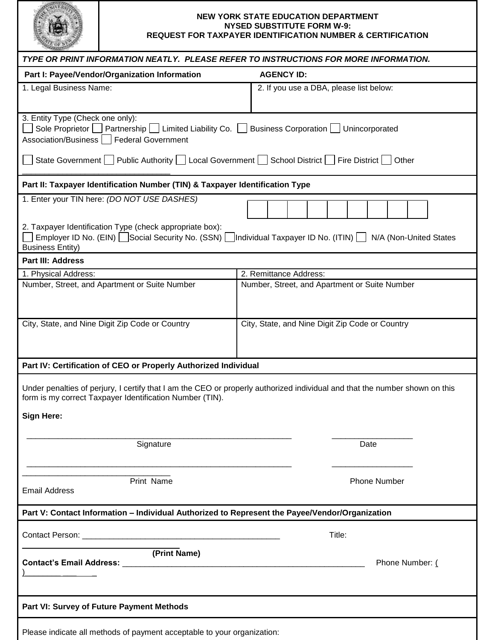

#### **NEW YORK STATE EDUCATION DEPARTMENT NYSED SUBSTITUTE FORM W-9: REQUEST FOR TAXPAYER IDENTIFICATION NUMBER & CERTIFICATION**

| <b>SECTION</b>                                                                                                                                                                 |                                                                                                                             |
|--------------------------------------------------------------------------------------------------------------------------------------------------------------------------------|-----------------------------------------------------------------------------------------------------------------------------|
| TYPE OR PRINT INFORMATION NEATLY. PLEASE REFER TO INSTRUCTIONS FOR MORE INFORMATION.                                                                                           |                                                                                                                             |
| Part I: Payee/Vendor/Organization Information                                                                                                                                  | <b>AGENCY ID:</b>                                                                                                           |
| 1. Legal Business Name:                                                                                                                                                        | 2. If you use a DBA, please list below:                                                                                     |
| 3. Entity Type (Check one only):<br>Sole Proprietor   Partnership   Limited Liability Co.   Business Corporation   Unincorporated<br>Association/Business   Federal Government |                                                                                                                             |
| State Government   Public Authority   Local Government   School District   Fire District                                                                                       | Other                                                                                                                       |
| Part II: Taxpayer Identification Number (TIN) & Taxpayer Identification Type                                                                                                   |                                                                                                                             |
| 1. Enter your TIN here: (DO NOT USE DASHES)<br>2. Taxpayer Identification Type (check appropriate box):                                                                        |                                                                                                                             |
| <b>Business Entity)</b>                                                                                                                                                        | Employer ID No. (EIN)   Social Security No. (SSN)       Individual Taxpayer ID No. (ITIN)     N/A (Non-United States        |
| <b>Part III: Address</b>                                                                                                                                                       |                                                                                                                             |
| 1. Physical Address:                                                                                                                                                           | 2. Remittance Address:                                                                                                      |
| Number, Street, and Apartment or Suite Number                                                                                                                                  | Number, Street, and Apartment or Suite Number                                                                               |
|                                                                                                                                                                                |                                                                                                                             |
| City, State, and Nine Digit Zip Code or Country                                                                                                                                | City, State, and Nine Digit Zip Code or Country                                                                             |
| Part IV: Certification of CEO or Properly Authorized Individual                                                                                                                |                                                                                                                             |
| form is my correct Taxpayer Identification Number (TIN).                                                                                                                       | Under penalties of perjury, I certify that I am the CEO or properly authorized individual and that the number shown on this |
| <b>Sign Here:</b>                                                                                                                                                              |                                                                                                                             |
| Signature                                                                                                                                                                      | Date                                                                                                                        |
| Print Name<br><b>Email Address</b>                                                                                                                                             | <b>Phone Number</b>                                                                                                         |
| Part V: Contact Information – Individual Authorized to Represent the Payee/Vendor/Organization                                                                                 |                                                                                                                             |
|                                                                                                                                                                                | Title:                                                                                                                      |
| (Print Name)                                                                                                                                                                   | Phone Number: (                                                                                                             |
| Part VI: Survey of Future Payment Methods                                                                                                                                      |                                                                                                                             |
| Please indicate all methods of payment acceptable to your organization:                                                                                                        |                                                                                                                             |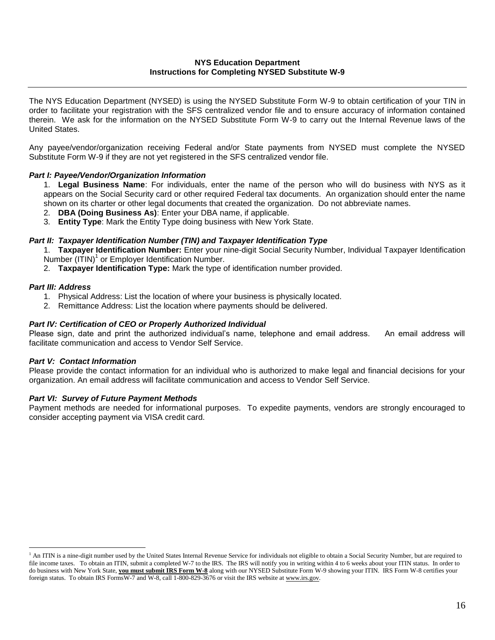#### **NYS Education Department Instructions for Completing NYSED Substitute W-9**

The NYS Education Department (NYSED) is using the NYSED Substitute Form W-9 to obtain certification of your TIN in order to facilitate your registration with the SFS centralized vendor file and to ensure accuracy of information contained therein. We ask for the information on the NYSED Substitute Form W-9 to carry out the Internal Revenue laws of the United States.

Any payee/vendor/organization receiving Federal and/or State payments from NYSED must complete the NYSED Substitute Form W-9 if they are not yet registered in the SFS centralized vendor file.

## *Part I: Payee/Vendor/Organization Information*

1. **Legal Business Name**: For individuals, enter the name of the person who will do business with NYS as it appears on the Social Security card or other required Federal tax documents. An organization should enter the name shown on its charter or other legal documents that created the organization. Do not abbreviate names.

- 2. **DBA (Doing Business As)**: Enter your DBA name, if applicable.
- 3. **Entity Type**: Mark the Entity Type doing business with New York State.

#### *Part II: Taxpayer Identification Number (TIN) and Taxpayer Identification Type*

1. **Taxpayer Identification Number:** Enter your nine-digit Social Security Number, Individual Taxpayer Identification Number  $(ITIN)^1$  or Employer Identification Number.

2. **Taxpayer Identification Type:** Mark the type of identification number provided.

#### *Part III: Address*

 $\overline{a}$ 

- 1. Physical Address: List the location of where your business is physically located.
- 2. Remittance Address: List the location where payments should be delivered.

#### *Part IV: Certification of CEO or Properly Authorized Individual*

Please sign, date and print the authorized individual's name, telephone and email address. An email address will facilitate communication and access to Vendor Self Service.

## *Part V: Contact Information*

Please provide the contact information for an individual who is authorized to make legal and financial decisions for your organization. An email address will facilitate communication and access to Vendor Self Service.

## *Part VI: Survey of Future Payment Methods*

Payment methods are needed for informational purposes. To expedite payments, vendors are strongly encouraged to consider accepting payment via VISA credit card.

<sup>&</sup>lt;sup>1</sup> An ITIN is a nine-digit number used by the United States Internal Revenue Service for individuals not eligible to obtain a Social Security Number, but are required to file income taxes. To obtain an ITIN, submit a completed W-7 to the IRS. The IRS will notify you in writing within 4 to 6 weeks about your ITIN status. In order to do business with New York State, **you must submit IRS Form W-8** along with our NYSED Substitute Form W-9 showing your ITIN. IRS Form W-8 certifies your foreign status. To obtain IRS FormsW-7 and W-8, call 1-800-829-3676 or visit the IRS website at www.irs.gov.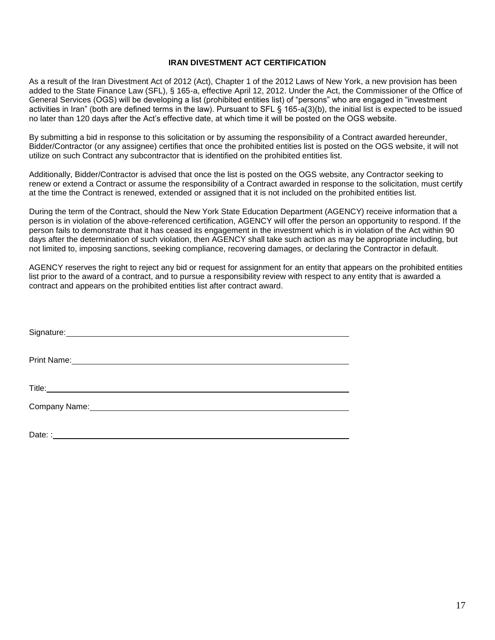#### **IRAN DIVESTMENT ACT CERTIFICATION**

As a result of the Iran Divestment Act of 2012 (Act), Chapter 1 of the 2012 Laws of New York, a new provision has been added to the State Finance Law (SFL), § 165-a, effective April 12, 2012. Under the Act, the Commissioner of the Office of General Services (OGS) will be developing a list (prohibited entities list) of "persons" who are engaged in "investment activities in Iran" (both are defined terms in the law). Pursuant to SFL § 165-a(3)(b), the initial list is expected to be issued no later than 120 days after the Act's effective date, at which time it will be posted on the OGS website.

By submitting a bid in response to this solicitation or by assuming the responsibility of a Contract awarded hereunder, Bidder/Contractor (or any assignee) certifies that once the prohibited entities list is posted on the OGS website, it will not utilize on such Contract any subcontractor that is identified on the prohibited entities list.

Additionally, Bidder/Contractor is advised that once the list is posted on the OGS website, any Contractor seeking to renew or extend a Contract or assume the responsibility of a Contract awarded in response to the solicitation, must certify at the time the Contract is renewed, extended or assigned that it is not included on the prohibited entities list.

During the term of the Contract, should the New York State Education Department (AGENCY) receive information that a person is in violation of the above-referenced certification, AGENCY will offer the person an opportunity to respond. If the person fails to demonstrate that it has ceased its engagement in the investment which is in violation of the Act within 90 days after the determination of such violation, then AGENCY shall take such action as may be appropriate including, but not limited to, imposing sanctions, seeking compliance, recovering damages, or declaring the Contractor in default.

AGENCY reserves the right to reject any bid or request for assignment for an entity that appears on the prohibited entities list prior to the award of a contract, and to pursue a responsibility review with respect to any entity that is awarded a contract and appears on the prohibited entities list after contract award.

| Signature: Management of the Communication of the Communication of the Communication of the Communication of the Communication of the Communication of the Communication of the Communication of the Communication of the Comm       |
|--------------------------------------------------------------------------------------------------------------------------------------------------------------------------------------------------------------------------------------|
|                                                                                                                                                                                                                                      |
| Title: <u>The Community of the Community of the Community of the Community of the Community of the Community of the Community of the Community of the Community of the Community of the Community of the Community of the Commun</u> |
|                                                                                                                                                                                                                                      |
|                                                                                                                                                                                                                                      |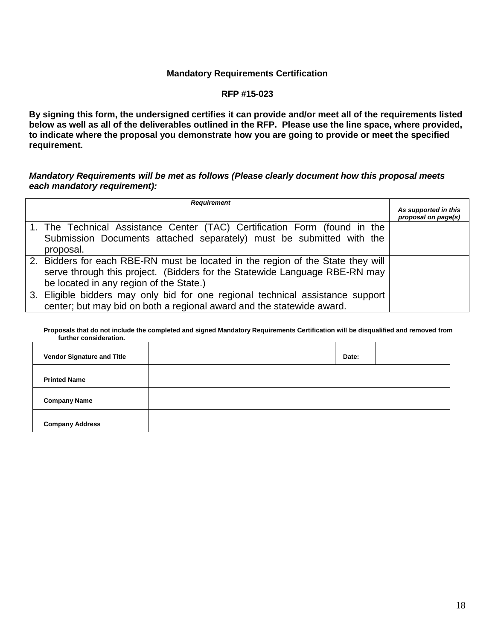## **Mandatory Requirements Certification**

## **RFP #15-023**

**By signing this form, the undersigned certifies it can provide and/or meet all of the requirements listed below as well as all of the deliverables outlined in the RFP. Please use the line space, where provided, to indicate where the proposal you demonstrate how you are going to provide or meet the specified requirement.**

## *Mandatory Requirements will be met as follows (Please clearly document how this proposal meets each mandatory requirement):*

| <b>Requirement</b>                                                              | As supported in this |
|---------------------------------------------------------------------------------|----------------------|
|                                                                                 | proposal on page(s)  |
| 1. The Technical Assistance Center (TAC) Certification Form (found in the       |                      |
| Submission Documents attached separately) must be submitted with the            |                      |
| proposal.                                                                       |                      |
| 2. Bidders for each RBE-RN must be located in the region of the State they will |                      |
| serve through this project. (Bidders for the Statewide Language RBE-RN may      |                      |
| be located in any region of the State.)                                         |                      |
| 3. Eligible bidders may only bid for one regional technical assistance support  |                      |
| center; but may bid on both a regional award and the statewide award.           |                      |

#### **Proposals that do not include the completed and signed Mandatory Requirements Certification will be disqualified and removed from further consideration.**

| <b>Vendor Signature and Title</b> | Date: |  |
|-----------------------------------|-------|--|
| <b>Printed Name</b>               |       |  |
| <b>Company Name</b>               |       |  |
| <b>Company Address</b>            |       |  |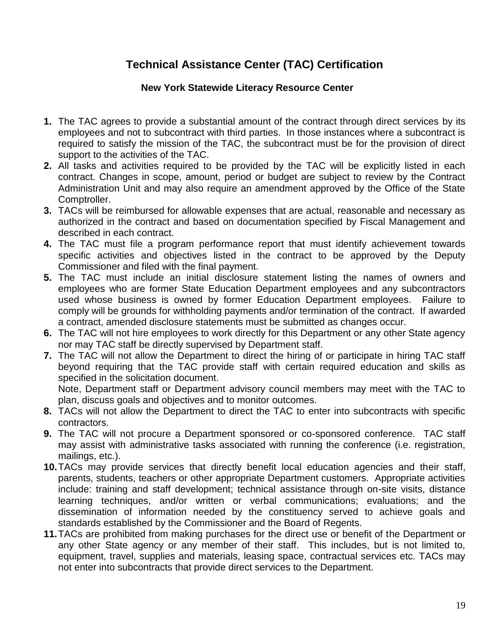# **Technical Assistance Center (TAC) Certification**

# **New York Statewide Literacy Resource Center**

- **1.** The TAC agrees to provide a substantial amount of the contract through direct services by its employees and not to subcontract with third parties. In those instances where a subcontract is required to satisfy the mission of the TAC, the subcontract must be for the provision of direct support to the activities of the TAC.
- **2.** All tasks and activities required to be provided by the TAC will be explicitly listed in each contract. Changes in scope, amount, period or budget are subject to review by the Contract Administration Unit and may also require an amendment approved by the Office of the State Comptroller.
- **3.** TACs will be reimbursed for allowable expenses that are actual, reasonable and necessary as authorized in the contract and based on documentation specified by Fiscal Management and described in each contract.
- **4.** The TAC must file a program performance report that must identify achievement towards specific activities and objectives listed in the contract to be approved by the Deputy Commissioner and filed with the final payment.
- **5.** The TAC must include an initial disclosure statement listing the names of owners and employees who are former State Education Department employees and any subcontractors used whose business is owned by former Education Department employees. Failure to comply will be grounds for withholding payments and/or termination of the contract. If awarded a contract, amended disclosure statements must be submitted as changes occur.
- **6.** The TAC will not hire employees to work directly for this Department or any other State agency nor may TAC staff be directly supervised by Department staff.
- **7.** The TAC will not allow the Department to direct the hiring of or participate in hiring TAC staff beyond requiring that the TAC provide staff with certain required education and skills as specified in the solicitation document.

Note, Department staff or Department advisory council members may meet with the TAC to plan, discuss goals and objectives and to monitor outcomes.

- **8.** TACs will not allow the Department to direct the TAC to enter into subcontracts with specific contractors.
- **9.** The TAC will not procure a Department sponsored or co-sponsored conference. TAC staff may assist with administrative tasks associated with running the conference (i.e. registration, mailings, etc.).
- **10.**TACs may provide services that directly benefit local education agencies and their staff, parents, students, teachers or other appropriate Department customers. Appropriate activities include: training and staff development; technical assistance through on-site visits, distance learning techniques, and/or written or verbal communications; evaluations; and the dissemination of information needed by the constituency served to achieve goals and standards established by the Commissioner and the Board of Regents.
- **11.**TACs are prohibited from making purchases for the direct use or benefit of the Department or any other State agency or any member of their staff. This includes, but is not limited to, equipment, travel, supplies and materials, leasing space, contractual services etc. TACs may not enter into subcontracts that provide direct services to the Department.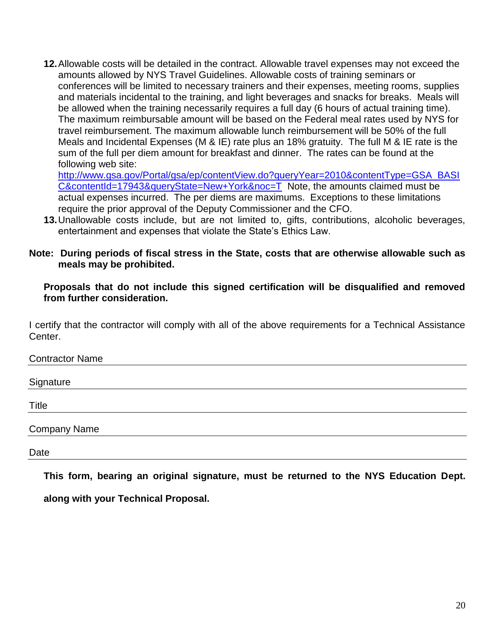**12.**Allowable costs will be detailed in the contract. Allowable travel expenses may not exceed the amounts allowed by NYS Travel Guidelines. Allowable costs of training seminars or conferences will be limited to necessary trainers and their expenses, meeting rooms, supplies and materials incidental to the training, and light beverages and snacks for breaks. Meals will be allowed when the training necessarily requires a full day (6 hours of actual training time). The maximum reimbursable amount will be based on the Federal meal rates used by NYS for travel reimbursement. The maximum allowable lunch reimbursement will be 50% of the full Meals and Incidental Expenses (M & IE) rate plus an 18% gratuity. The full M & IE rate is the sum of the full per diem amount for breakfast and dinner. The rates can be found at the following web site:

[http://www.gsa.gov/Portal/gsa/ep/contentView.do?queryYear=2010&contentType=GSA\\_BASI](http://www.gsa.gov/Portal/gsa/ep/contentView.do?queryYear=2010&contentType=GSA_BASIC&contentId=17943&queryState=New+York&noc=T) [C&contentId=17943&queryState=New+York&noc=T](http://www.gsa.gov/Portal/gsa/ep/contentView.do?queryYear=2010&contentType=GSA_BASIC&contentId=17943&queryState=New+York&noc=T) Note, the amounts claimed must be actual expenses incurred. The per diems are maximums. Exceptions to these limitations require the prior approval of the Deputy Commissioner and the CFO.

**13.**Unallowable costs include, but are not limited to, gifts, contributions, alcoholic beverages, entertainment and expenses that violate the State's Ethics Law.

# **Note: During periods of fiscal stress in the State, costs that are otherwise allowable such as meals may be prohibited.**

**Proposals that do not include this signed certification will be disqualified and removed from further consideration.**

I certify that the contractor will comply with all of the above requirements for a Technical Assistance Center.

Contractor Name **Signature** Title

Company Name

Date

**This form, bearing an original signature, must be returned to the NYS Education Dept.** 

**along with your Technical Proposal.**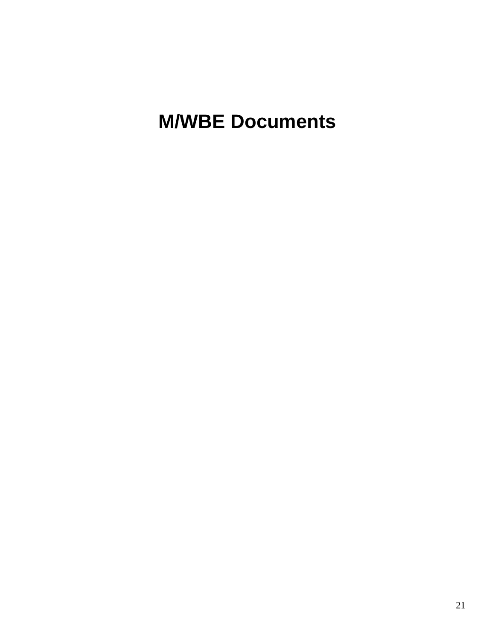# **M/WBE Documents**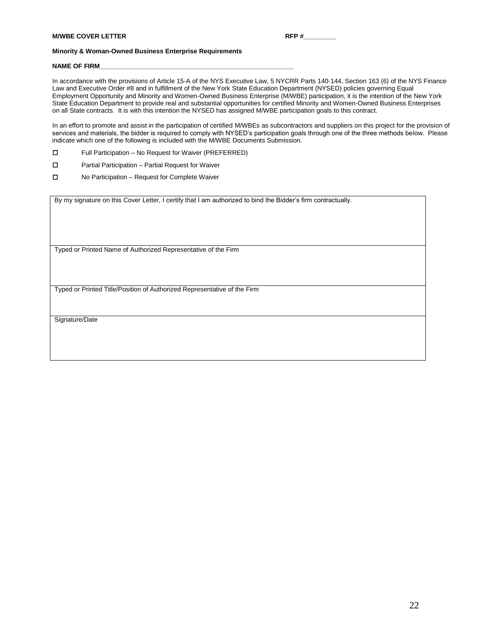#### **Minority & Woman-Owned Business Enterprise Requirements**

#### NAME OF FIRM

In accordance with the provisions of Article 15-A of the NYS Executive Law, 5 NYCRR Parts 140-144, Section 163 (6) of the NYS Finance Law and Executive Order #8 and in fulfillment of the New York State Education Department (NYSED) policies governing Equal Employment Opportunity and Minority and Women-Owned Business Enterprise (M/WBE) participation, it is the intention of the New York State Education Department to provide real and substantial opportunities for certified Minority and Women-Owned Business Enterprises on all State contracts. It is with this intention the NYSED has assigned M/WBE participation goals to this contract.

In an effort to promote and assist in the participation of certified M/WBEs as subcontractors and suppliers on this project for the provision of services and materials, the bidder is required to comply with NYSED's participation goals through one of the three methods below. Please indicate which one of the following is included with the M/WBE Documents Submission.

- Full Participation No Request for Waiver (PREFERRED)
- □ Partial Participation Partial Request for Waiver
- No Participation Request for Complete Waiver

By my signature on this Cover Letter, I certify that I am authorized to bind the Bidder's firm contractually.

Typed or Printed Name of Authorized Representative of the Firm

Typed or Printed Title/Position of Authorized Representative of the Firm

Signature/Date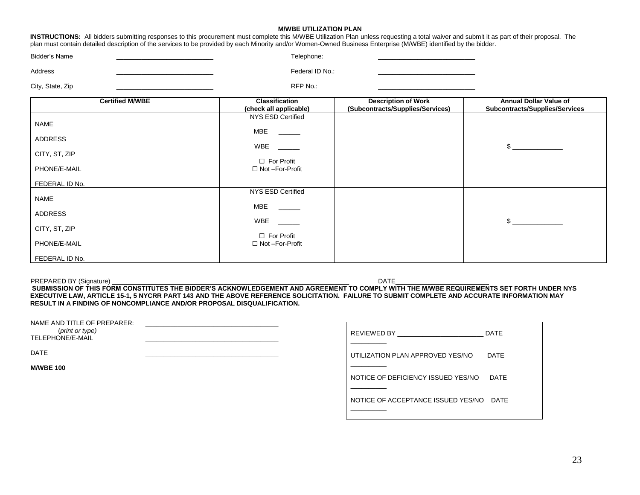#### **M/WBE UTILIZATION PLAN**

| <b>INSTRUCTIONS:</b> All bidders submitting responses to this procurement must complete this M/WBE Utilization Plan unless requesting a total waiver and submit it as part of their proposal. The |  |  |  |
|---------------------------------------------------------------------------------------------------------------------------------------------------------------------------------------------------|--|--|--|
| plan must contain detailed description of the services to be provided by each Minority and/or Women-Owned Business Enterprise (M/WBE) identified by the bidder.                                   |  |  |  |

| Bidder's Name | Felephone:      |  |
|---------------|-----------------|--|
| Address       | Federal ID No.: |  |

City, State, Zip \_\_\_\_\_\_\_\_\_\_\_\_\_\_\_\_\_\_\_\_\_\_\_\_\_\_\_ RFP No.: \_\_\_\_\_\_\_\_\_\_\_\_\_\_\_\_\_\_\_\_\_\_\_\_\_\_\_

| <b>Certified M/WBE</b>                                  | <b>Classification</b><br>(check all applicable)                                                             | <b>Description of Work</b><br>(Subcontracts/Supplies/Services) | <b>Annual Dollar Value of</b><br>Subcontracts/Supplies/Services |
|---------------------------------------------------------|-------------------------------------------------------------------------------------------------------------|----------------------------------------------------------------|-----------------------------------------------------------------|
| <b>NAME</b><br>ADDRESS<br>CITY, ST, ZIP<br>PHONE/E-MAIL | NYS ESD Certified<br>MBE<br><u> 1999 - Andrea Sta</u><br>WBE<br>$\Box$ For Profit<br>$\Box$ Not -For-Profit |                                                                | $\mathbb{S}$                                                    |
| FEDERAL ID No.                                          |                                                                                                             |                                                                |                                                                 |
| <b>NAME</b>                                             | NYS ESD Certified<br>MBE                                                                                    |                                                                |                                                                 |
| <b>ADDRESS</b>                                          |                                                                                                             |                                                                |                                                                 |
| CITY, ST, ZIP                                           | WBE<br>$\Box$ For Profit                                                                                    |                                                                | $\mathbb{S}$                                                    |
| PHONE/E-MAIL                                            | $\Box$ Not -For-Profit                                                                                      |                                                                |                                                                 |
| FEDERAL ID No.                                          |                                                                                                             |                                                                |                                                                 |

PREPARED BY (Signature) \_\_\_\_\_\_\_\_\_\_\_\_\_\_\_\_\_\_\_\_\_\_\_\_\_\_\_\_\_\_\_\_\_\_\_\_\_\_\_\_\_\_\_\_\_\_\_\_\_\_\_\_\_\_\_\_\_\_\_\_\_\_\_\_\_\_ DATE\_\_\_\_\_\_\_\_\_\_\_\_\_\_\_\_\_\_\_\_\_\_\_\_\_\_ **SUBMISSION OF THIS FORM CONSTITUTES THE BIDDER'S ACKNOWLEDGEMENT AND AGREEMENT TO COMPLY WITH THE M/WBE REQUIREMENTS SET FORTH UNDER NYS EXECUTIVE LAW, ARTICLE 15-1, 5 NYCRR PART 143 AND THE ABOVE REFERENCE SOLICITATION. FAILURE TO SUBMIT COMPLETE AND ACCURATE INFORMATION MAY RESULT IN A FINDING OF NONCOMPLIANCE AND/OR PROPOSAL DISQUALIFICATION.**

ा

| NAME AND TITLE OF PREPARER:<br>(print or type)<br>TELEPHONE/E-MAIL |  |
|--------------------------------------------------------------------|--|
| <b>DATE</b>                                                        |  |

**M/WBE 100**

| REVIEWED BY                        | DATF |
|------------------------------------|------|
|                                    |      |
| UTILIZATION PLAN APPROVED YES/NO   | DATF |
|                                    |      |
| NOTICE OF DEFICIENCY ISSUED YES/NO | DATF |
|                                    |      |
| NOTICE OF ACCEPTANCE ISSUED YES/NO | DATF |
|                                    |      |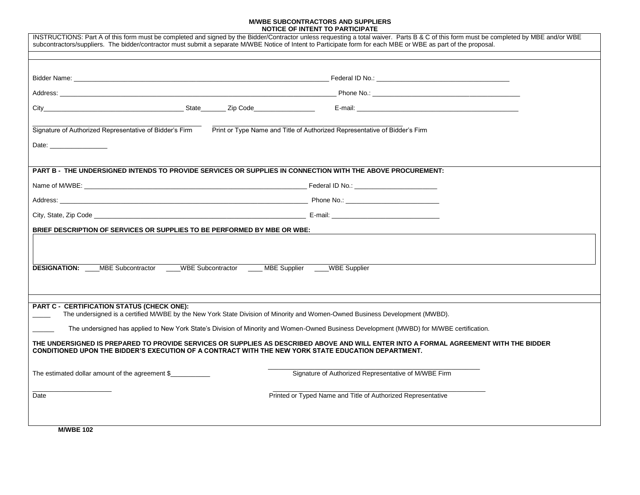#### **M/WBE SUBCONTRACTORS AND SUPPLIERS NOTICE OF INTENT TO PARTICIPATE**

| INSTRUCTIONS: Part A of this form must be completed and signed by the Bidder/Contractor unless requesting a total waiver. Parts B & C of this form must be completed by MBE and/or WBE<br>subcontractors/suppliers. The bidder/contractor must submit a separate MWBE Notice of Intent to Participate form for each MBE or WBE as part of the proposal. |
|---------------------------------------------------------------------------------------------------------------------------------------------------------------------------------------------------------------------------------------------------------------------------------------------------------------------------------------------------------|
|                                                                                                                                                                                                                                                                                                                                                         |
|                                                                                                                                                                                                                                                                                                                                                         |
|                                                                                                                                                                                                                                                                                                                                                         |
|                                                                                                                                                                                                                                                                                                                                                         |
|                                                                                                                                                                                                                                                                                                                                                         |
| Signature of Authorized Representative of Bidder's Firm<br>Print or Type Name and Title of Authorized Representative of Bidder's Firm                                                                                                                                                                                                                   |
|                                                                                                                                                                                                                                                                                                                                                         |
| PART B - THE UNDERSIGNED INTENDS TO PROVIDE SERVICES OR SUPPLIES IN CONNECTION WITH THE ABOVE PROCUREMENT:                                                                                                                                                                                                                                              |
|                                                                                                                                                                                                                                                                                                                                                         |
|                                                                                                                                                                                                                                                                                                                                                         |
|                                                                                                                                                                                                                                                                                                                                                         |
| BRIEF DESCRIPTION OF SERVICES OR SUPPLIES TO BE PERFORMED BY MBE OR WBE:                                                                                                                                                                                                                                                                                |
|                                                                                                                                                                                                                                                                                                                                                         |
| <b>DESIGNATION:</b> MBE Subcontractor WBE Subcontractor MBE Supplier WBE Supplier                                                                                                                                                                                                                                                                       |
| <b>PART C - CERTIFICATION STATUS (CHECK ONE):</b>                                                                                                                                                                                                                                                                                                       |
| The undersigned is a certified M/WBE by the New York State Division of Minority and Women-Owned Business Development (MWBD).                                                                                                                                                                                                                            |
| The undersigned has applied to New York State's Division of Minority and Women-Owned Business Development (MWBD) for M/WBE certification.                                                                                                                                                                                                               |
| THE UNDERSIGNED IS PREPARED TO PROVIDE SERVICES OR SUPPLIES AS DESCRIBED ABOVE AND WILL ENTER INTO A FORMAL AGREEMENT WITH THE BIDDER<br>CONDITIONED UPON THE BIDDER'S EXECUTION OF A CONTRACT WITH THE NEW YORK STATE EDUCATION DEPARTMENT.                                                                                                            |
| Signature of Authorized Representative of M/WBE Firm<br>The estimated dollar amount of the agreement \$                                                                                                                                                                                                                                                 |
| Printed or Typed Name and Title of Authorized Representative<br>Date                                                                                                                                                                                                                                                                                    |
|                                                                                                                                                                                                                                                                                                                                                         |
| <b>M/WBE 102</b>                                                                                                                                                                                                                                                                                                                                        |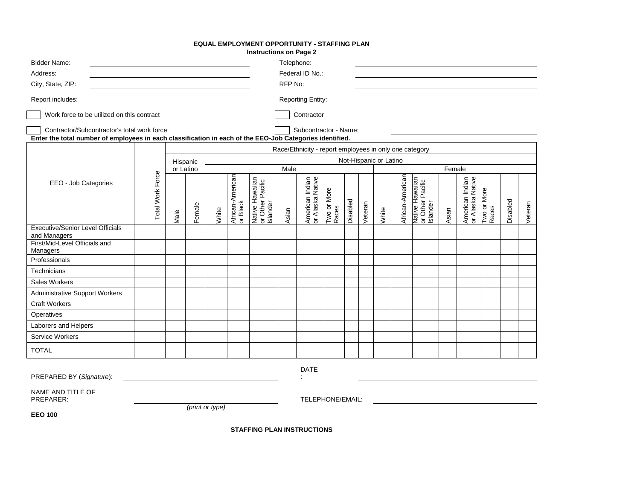#### **EQUAL EMPLOYMENT OPPORTUNITY - STAFFING PLAN**

**Instructions on Page 2**

| <b>Bidder Name:</b><br>Address:<br>City, State, ZIP:                                                                                                    |                         |          |                 |       |                              |                                                 | Telephone:<br>RFP No: | Federal ID No.:                                        |                      |          |         |                        |                  |                                                 |        |                                     |                      |          |         |
|---------------------------------------------------------------------------------------------------------------------------------------------------------|-------------------------|----------|-----------------|-------|------------------------------|-------------------------------------------------|-----------------------|--------------------------------------------------------|----------------------|----------|---------|------------------------|------------------|-------------------------------------------------|--------|-------------------------------------|----------------------|----------|---------|
| Report includes:                                                                                                                                        |                         |          |                 |       |                              |                                                 |                       | <b>Reporting Entity:</b>                               |                      |          |         |                        |                  |                                                 |        |                                     |                      |          |         |
| Work force to be utilized on this contract                                                                                                              |                         |          |                 |       |                              |                                                 |                       | Contractor                                             |                      |          |         |                        |                  |                                                 |        |                                     |                      |          |         |
| Contractor/Subcontractor's total work force<br>Enter the total number of employees in each classification in each of the EEO-Job Categories identified. |                         |          |                 |       |                              |                                                 |                       | Subcontractor - Name:                                  |                      |          |         |                        |                  |                                                 |        |                                     |                      |          |         |
|                                                                                                                                                         |                         |          |                 |       |                              |                                                 |                       | Race/Ethnicity - report employees in only one category |                      |          |         |                        |                  |                                                 |        |                                     |                      |          |         |
|                                                                                                                                                         |                         | Hispanic |                 |       |                              |                                                 |                       |                                                        |                      |          |         | Not-Hispanic or Latino |                  |                                                 |        |                                     |                      |          |         |
|                                                                                                                                                         |                         |          | or Latino       |       |                              |                                                 | Male                  |                                                        |                      |          |         |                        |                  |                                                 | Female |                                     |                      |          |         |
| EEO - Job Categories                                                                                                                                    | <b>Total Work Force</b> | Male     | Female          | White | African-American<br>or Black | Native Hawaiian<br>or Other Pacific<br>Islander | Asian                 | American Indian<br>or Alaska Native                    | Two or More<br>Races | Disabled | Veteran | White                  | African-American | Native Hawaiian<br>or Other Pacific<br>Islander | Asian  | American Indian<br>or Alaska Native | Two or More<br>Races | Disabled | Veteran |
| <b>Executive/Senior Level Officials</b><br>and Managers                                                                                                 |                         |          |                 |       |                              |                                                 |                       |                                                        |                      |          |         |                        |                  |                                                 |        |                                     |                      |          |         |
| First/Mid-Level Officials and<br>Managers                                                                                                               |                         |          |                 |       |                              |                                                 |                       |                                                        |                      |          |         |                        |                  |                                                 |        |                                     |                      |          |         |
| Professionals                                                                                                                                           |                         |          |                 |       |                              |                                                 |                       |                                                        |                      |          |         |                        |                  |                                                 |        |                                     |                      |          |         |
| Technicians                                                                                                                                             |                         |          |                 |       |                              |                                                 |                       |                                                        |                      |          |         |                        |                  |                                                 |        |                                     |                      |          |         |
| <b>Sales Workers</b>                                                                                                                                    |                         |          |                 |       |                              |                                                 |                       |                                                        |                      |          |         |                        |                  |                                                 |        |                                     |                      |          |         |
| <b>Administrative Support Workers</b>                                                                                                                   |                         |          |                 |       |                              |                                                 |                       |                                                        |                      |          |         |                        |                  |                                                 |        |                                     |                      |          |         |
| <b>Craft Workers</b>                                                                                                                                    |                         |          |                 |       |                              |                                                 |                       |                                                        |                      |          |         |                        |                  |                                                 |        |                                     |                      |          |         |
| Operatives                                                                                                                                              |                         |          |                 |       |                              |                                                 |                       |                                                        |                      |          |         |                        |                  |                                                 |        |                                     |                      |          |         |
| Laborers and Helpers                                                                                                                                    |                         |          |                 |       |                              |                                                 |                       |                                                        |                      |          |         |                        |                  |                                                 |        |                                     |                      |          |         |
| <b>Service Workers</b>                                                                                                                                  |                         |          |                 |       |                              |                                                 |                       |                                                        |                      |          |         |                        |                  |                                                 |        |                                     |                      |          |         |
| <b>TOTAL</b>                                                                                                                                            |                         |          |                 |       |                              |                                                 |                       |                                                        |                      |          |         |                        |                  |                                                 |        |                                     |                      |          |         |
| PREPARED BY (Signature):                                                                                                                                |                         |          |                 |       |                              |                                                 |                       | <b>DATE</b>                                            |                      |          |         |                        |                  |                                                 |        |                                     |                      |          |         |
| NAME AND TITLE OF<br>PREPARER:                                                                                                                          |                         |          |                 |       |                              |                                                 |                       | TELEPHONE/EMAIL:                                       |                      |          |         |                        |                  |                                                 |        |                                     |                      |          |         |
| <b>EEO 100</b>                                                                                                                                          |                         |          | (print or type) |       |                              |                                                 |                       |                                                        |                      |          |         |                        |                  |                                                 |        |                                     |                      |          |         |
|                                                                                                                                                         |                         |          |                 |       |                              | <b>STAFFING PLAN INSTRUCTIONS</b>               |                       |                                                        |                      |          |         |                        |                  |                                                 |        |                                     |                      |          |         |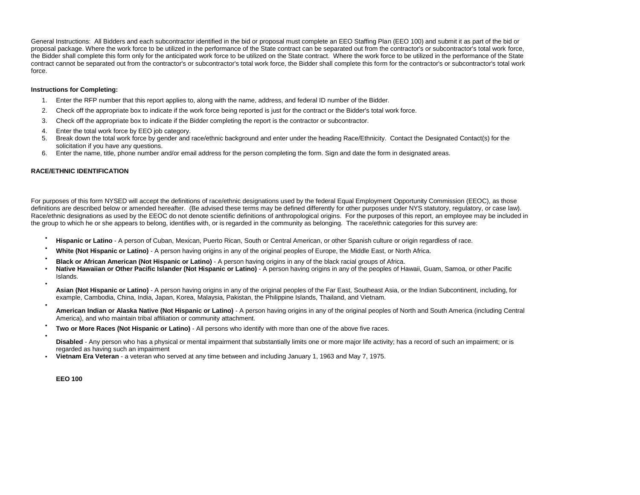General Instructions: All Bidders and each subcontractor identified in the bid or proposal must complete an EEO Staffing Plan (EEO 100) and submit it as part of the bid or proposal package. Where the work force to be utilized in the performance of the State contract can be separated out from the contractor's or subcontractor's total work force, the Bidder shall complete this form only for the anticipated work force to be utilized on the State contract. Where the work force to be utilized in the performance of the State contract cannot be separated out from the contractor's or subcontractor's total work force, the Bidder shall complete this form for the contractor's or subcontractor's total work force.

#### **Instructions for Completing:**

- 1. Enter the RFP number that this report applies to, along with the name, address, and federal ID number of the Bidder.
- 2. Check off the appropriate box to indicate if the work force being reported is just for the contract or the Bidder's total work force.
- 3. Check off the appropriate box to indicate if the Bidder completing the report is the contractor or subcontractor.
- 4. Enter the total work force by EEO job category.
- 5. Break down the total work force by gender and race/ethnic background and enter under the heading Race/Ethnicity. Contact the Designated Contact(s) for the solicitation if you have any questions.
- 6. Enter the name, title, phone number and/or email address for the person completing the form. Sign and date the form in designated areas.

#### **RACE/ETHNIC IDENTIFICATION**

For purposes of this form NYSED will accept the definitions of race/ethnic designations used by the federal Equal Employment Opportunity Commission (EEOC), as those definitions are described below or amended hereafter. (Be advised these terms may be defined differently for other purposes under NYS statutory, requiatory, or case law). Race/ethnic designations as used by the EEOC do not denote scientific definitions of anthropological origins. For the purposes of this report, an employee may be included in the group to which he or she appears to belong, identifies with, or is regarded in the community as belonging. The race/ethnic categories for this survey are:

- **Hispanic or Latino** A person of Cuban, Mexican, Puerto Rican, South or Central American, or other Spanish culture or origin regardless of race.
- **White (Not Hispanic or Latino)**  A person having origins in any of the original peoples of Europe, the Middle East, or North Africa.
- **Black or African American (Not Hispanic or Latino)**  A person having origins in any of the black racial groups of Africa.
- **Native Hawaiian or Other Pacific Islander (Not Hispanic or Latino)**  A person having origins in any of the peoples of Hawaii, Guam, Samoa, or other Pacific Islands. •

**Asian (Not Hispanic or Latino)** - A person having origins in any of the original peoples of the Far East, Southeast Asia, or the Indian Subcontinent, including, for example, Cambodia, China, India, Japan, Korea, Malaysia, Pakistan, the Philippine Islands, Thailand, and Vietnam.

- **American Indian or Alaska Native (Not Hispanic or Latino)** - A person having origins in any of the original peoples of North and South America (including Central America), and who maintain tribal affiliation or community attachment.
- **Two or More Races (Not Hispanic or Latino)**  All persons who identify with more than one of the above five races.
- **Disabled** - Any person who has a physical or mental impairment that substantially limits one or more major life activity; has a record of such an impairment; or is regarded as having such an impairment
- **Vietnam Era Veteran**  a veteran who served at any time between and including January 1, 1963 and May 7, 1975.

**EEO 100**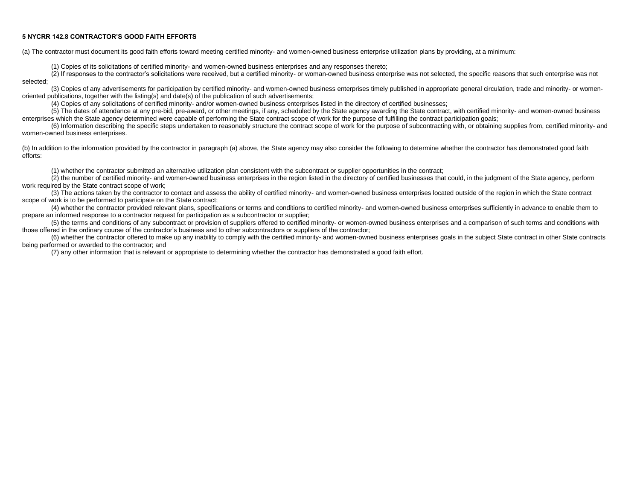#### **5 NYCRR 142.8 CONTRACTOR'S GOOD FAITH EFFORTS**

(a) The contractor must document its good faith efforts toward meeting certified minority- and women-owned business enterprise utilization plans by providing, at a minimum:

(1) Copies of its solicitations of certified minority- and women-owned business enterprises and any responses thereto;

(2) If responses to the contractor's solicitations were received, but a certified minority- or woman-owned business enterprise was not selected, the specific reasons that such enterprise was not selected;

(3) Copies of any advertisements for participation by certified minority- and women-owned business enterprises timely published in appropriate general circulation, trade and minority- or womenoriented publications, together with the listing(s) and date(s) of the publication of such advertisements;

(4) Copies of any solicitations of certified minority- and/or women-owned business enterprises listed in the directory of certified businesses;

(5) The dates of attendance at any pre-bid, pre-award, or other meetings, if any, scheduled by the State agency awarding the State contract, with certified minority- and women-owned business enterprises which the State agency determined were capable of performing the State contract scope of work for the purpose of fulfilling the contract participation goals:

(6) Information describing the specific steps undertaken to reasonably structure the contract scope of work for the purpose of subcontracting with, or obtaining supplies from, certified minority- and women-owned business enterprises.

(b) In addition to the information provided by the contractor in paragraph (a) above, the State agency may also consider the following to determine whether the contractor has demonstrated good faith efforts:

(1) whether the contractor submitted an alternative utilization plan consistent with the subcontract or supplier opportunities in the contract;

(2) the number of certified minority- and women-owned business enterprises in the region listed in the directory of certified businesses that could, in the judgment of the State agency, perform work required by the State contract scope of work;

(3) The actions taken by the contractor to contact and assess the ability of certified minority- and women-owned business enterprises located outside of the region in which the State contract scope of work is to be performed to participate on the State contract;

(4) whether the contractor provided relevant plans, specifications or terms and conditions to certified minority- and women-owned business enterprises sufficiently in advance to enable them to prepare an informed response to a contractor request for participation as a subcontractor or supplier;

(5) the terms and conditions of any subcontract or provision of suppliers offered to certified minority- or women-owned business enterprises and a comparison of such terms and conditions with those offered in the ordinary course of the contractor's business and to other subcontractors or suppliers of the contractor;

(6) whether the contractor offered to make up any inability to comply with the certified minority- and women-owned business enterprises goals in the subject State contract in other State contracts being performed or awarded to the contractor; and

(7) any other information that is relevant or appropriate to determining whether the contractor has demonstrated a good faith effort.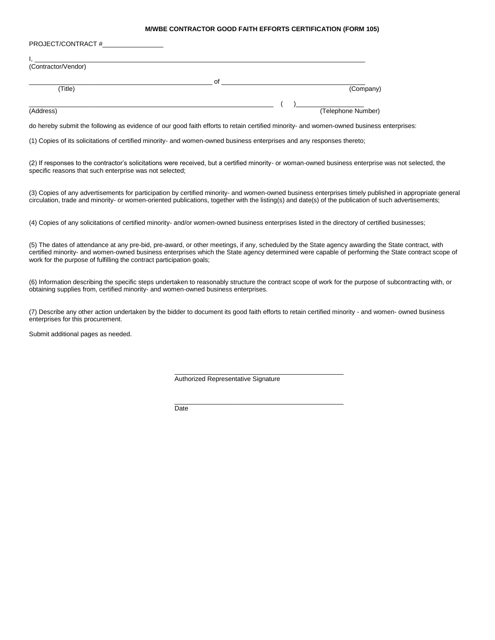#### **M/WBE CONTRACTOR GOOD FAITH EFFORTS CERTIFICATION (FORM 105)**

| PROJECT/CONTRACT #  |    |                    |
|---------------------|----|--------------------|
|                     |    |                    |
| (Contractor/Vendor) |    |                    |
|                     | Οf |                    |
| (Title)             |    | (Company)          |
|                     |    |                    |
| (Address)           |    | (Telephone Number) |

do hereby submit the following as evidence of our good faith efforts to retain certified minority- and women-owned business enterprises:

(1) Copies of its solicitations of certified minority- and women-owned business enterprises and any responses thereto;

(2) If responses to the contractor's solicitations were received, but a certified minority- or woman-owned business enterprise was not selected, the specific reasons that such enterprise was not selected;

(3) Copies of any advertisements for participation by certified minority- and women-owned business enterprises timely published in appropriate general circulation, trade and minority- or women-oriented publications, together with the listing(s) and date(s) of the publication of such advertisements;

(4) Copies of any solicitations of certified minority- and/or women-owned business enterprises listed in the directory of certified businesses;

(5) The dates of attendance at any pre-bid, pre-award, or other meetings, if any, scheduled by the State agency awarding the State contract, with certified minority- and women-owned business enterprises which the State agency determined were capable of performing the State contract scope of work for the purpose of fulfilling the contract participation goals;

(6) Information describing the specific steps undertaken to reasonably structure the contract scope of work for the purpose of subcontracting with, or obtaining supplies from, certified minority- and women-owned business enterprises.

(7) Describe any other action undertaken by the bidder to document its good faith efforts to retain certified minority - and women- owned business enterprises for this procurement.

\_\_\_\_\_\_\_\_\_\_\_\_\_\_\_\_\_\_\_\_\_\_\_\_\_\_\_\_\_\_\_\_\_\_\_\_\_\_\_\_\_\_\_\_\_\_\_

\_\_\_\_\_\_\_\_\_\_\_\_\_\_\_\_\_\_\_\_\_\_\_\_\_\_\_\_\_\_\_\_\_\_\_\_\_\_\_\_\_\_\_\_\_\_\_

Submit additional pages as needed.

Authorized Representative Signature

**Date**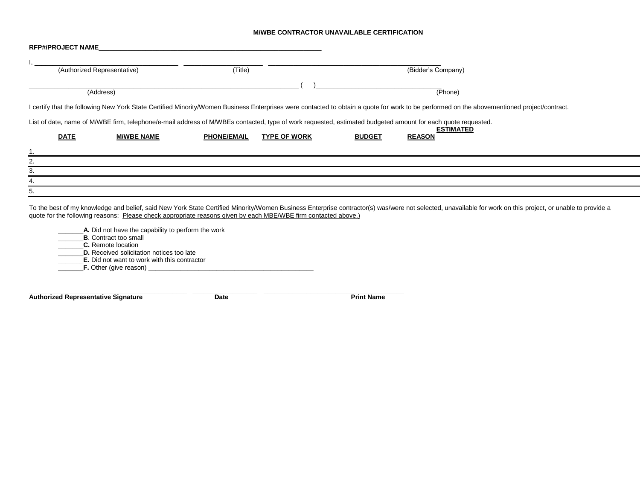#### **M/WBE CONTRACTOR UNAVAILABLE CERTIFICATION**

| <b>RFP#/PROJECT NAME</b>                                                                                                                                    |                             |                    |                     |               |                                                                                                                                                                                                            |
|-------------------------------------------------------------------------------------------------------------------------------------------------------------|-----------------------------|--------------------|---------------------|---------------|------------------------------------------------------------------------------------------------------------------------------------------------------------------------------------------------------------|
|                                                                                                                                                             | (Authorized Representative) | (Title)            |                     |               | (Bidder's Company)                                                                                                                                                                                         |
|                                                                                                                                                             | (Address)                   |                    |                     |               | (Phone)                                                                                                                                                                                                    |
|                                                                                                                                                             |                             |                    |                     |               | I certify that the following New York State Certified Minority/Women Business Enterprises were contacted to obtain a quote for work to be performed on the abovementioned project/contract.                |
| List of date, name of M/WBE firm, telephone/e-mail address of M/WBEs contacted, type of work requested, estimated budgeted amount for each quote requested. |                             |                    |                     |               |                                                                                                                                                                                                            |
| <b>DATE</b>                                                                                                                                                 | <b>M/WBE NAME</b>           | <b>PHONE/EMAIL</b> | <b>TYPE OF WORK</b> | <b>BUDGET</b> | <b>ESTIMATED</b><br><b>REASON</b>                                                                                                                                                                          |
|                                                                                                                                                             |                             |                    |                     |               |                                                                                                                                                                                                            |
| 2.                                                                                                                                                          |                             |                    |                     |               |                                                                                                                                                                                                            |
|                                                                                                                                                             |                             |                    |                     |               |                                                                                                                                                                                                            |
|                                                                                                                                                             |                             |                    |                     |               |                                                                                                                                                                                                            |
| 5.                                                                                                                                                          |                             |                    |                     |               |                                                                                                                                                                                                            |
|                                                                                                                                                             |                             |                    |                     |               | To the best of my knowledge and belief, said New York State Certified Minority/Women Business Enterprise contractor(s) was/were not selected, unavailable for work on this project, or unable to provide a |

quote for the following reasons: Please check appropriate reasons given by each MBE/WBE firm contacted above.)

**EXECT** 1. Did not have the capability to perform the work \_\_\_\_\_\_\_**B**. Contract too small \_\_\_\_\_\_\_**C.** Remote location \_\_\_\_\_\_\_**D.** Received solicitation notices too late \_\_\_\_\_\_\_**E.** Did not want to work with this contractor \_\_\_\_\_\_\_**F.** Other (give reason) **\_\_\_\_\_\_\_\_\_\_\_\_\_\_\_\_\_\_\_\_\_\_\_\_\_\_\_\_\_\_\_\_\_\_\_\_\_\_\_\_\_\_\_\_\_\_**

**Authorized Representative Signature Community Charles Community Date** Print Name

\_\_\_\_\_\_\_\_\_\_\_\_\_\_\_\_\_\_\_\_\_\_\_\_\_\_\_\_\_\_\_\_\_\_\_\_\_\_\_\_\_\_\_\_ \_\_\_\_\_\_\_\_\_\_\_\_\_\_\_\_\_\_ \_\_\_\_\_\_\_\_\_\_\_\_\_\_\_\_\_\_\_\_\_\_\_\_\_\_\_\_\_\_\_\_\_\_\_\_\_\_\_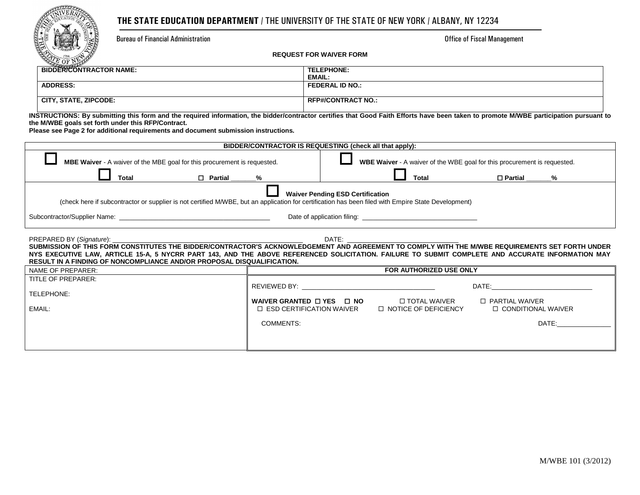## **THE STATE EDUCATION DEPARTMENT** / THE UNIVERSITY OF THE STATE OF NEW YORK / ALBANY, NY 12234

Bureau of Financial Administration **Exercise 2.1 According to the Contract Office of Fiscal Management** 

**REQUEST FOR WAIVER FORM**

| $\sim$ $\sim$<br><b>BIDDER/CONTRACTOR NAME:</b> | <b>TELEPHONE:</b>         |  |
|-------------------------------------------------|---------------------------|--|
|                                                 | <b>EMAIL:</b>             |  |
| <b>ADDRESS:</b>                                 | <b>FEDERAL ID NO.:</b>    |  |
|                                                 |                           |  |
| CITY, STATE, ZIPCODE:                           | <b>RFP#/CONTRACT NO.:</b> |  |
|                                                 |                           |  |

**INSTRUCTIONS: By submitting this form and the required information, the bidder/contractor certifies that Good Faith Efforts have been taken to promote M/WBE participation pursuant to the M/WBE goals set forth under this RFP/Contract.** 

**Please see Page 2 for additional requirements and document submission instructions.**

| BIDDER/CONTRACTOR IS REQUESTING (check all that apply):                                                                                                                                                                                                                                              |                                                                                                                                                                                                                                |                                                                          |                                                                                                                                                                                                                                |  |  |  |  |
|------------------------------------------------------------------------------------------------------------------------------------------------------------------------------------------------------------------------------------------------------------------------------------------------------|--------------------------------------------------------------------------------------------------------------------------------------------------------------------------------------------------------------------------------|--------------------------------------------------------------------------|--------------------------------------------------------------------------------------------------------------------------------------------------------------------------------------------------------------------------------|--|--|--|--|
| <b>MBE Waiver</b> - A waiver of the MBE goal for this procurement is requested.                                                                                                                                                                                                                      |                                                                                                                                                                                                                                | WBE Waiver - A waiver of the WBE goal for this procurement is requested. |                                                                                                                                                                                                                                |  |  |  |  |
| □ Partial %<br>Total                                                                                                                                                                                                                                                                                 |                                                                                                                                                                                                                                | Total                                                                    | □ Partial %                                                                                                                                                                                                                    |  |  |  |  |
|                                                                                                                                                                                                                                                                                                      | <b>Waiver Pending ESD Certification</b>                                                                                                                                                                                        |                                                                          |                                                                                                                                                                                                                                |  |  |  |  |
| (check here if subcontractor or supplier is not certified M/WBE, but an application for certification has been filed with Empire State Development)                                                                                                                                                  |                                                                                                                                                                                                                                |                                                                          |                                                                                                                                                                                                                                |  |  |  |  |
|                                                                                                                                                                                                                                                                                                      |                                                                                                                                                                                                                                |                                                                          |                                                                                                                                                                                                                                |  |  |  |  |
|                                                                                                                                                                                                                                                                                                      |                                                                                                                                                                                                                                |                                                                          |                                                                                                                                                                                                                                |  |  |  |  |
|                                                                                                                                                                                                                                                                                                      |                                                                                                                                                                                                                                |                                                                          |                                                                                                                                                                                                                                |  |  |  |  |
| SUBMISSION OF THIS FORM CONSTITUTES THE BIDDER/CONTRACTOR'S ACKNOWLEDGEMENT AND AGREEMENT TO COMPLY WITH THE M/WBE REQUIREMENTS SET FORTH UNDER<br>NYS EXECUTIVE LAW, ARTICLE 15-A, 5 NYCRR PART 143, AND THE ABOVE REFERENCED SOLICITATION. FAILURE TO SUBMIT COMPLETE AND ACCURATE INFORMATION MAY |                                                                                                                                                                                                                                |                                                                          |                                                                                                                                                                                                                                |  |  |  |  |
| <b>RESULT IN A FINDING OF NONCOMPLIANCE AND/OR PROPOSAL DISQUALIFICATION.</b>                                                                                                                                                                                                                        |                                                                                                                                                                                                                                |                                                                          |                                                                                                                                                                                                                                |  |  |  |  |
| NAME OF PREPARER:                                                                                                                                                                                                                                                                                    |                                                                                                                                                                                                                                | FOR AUTHORIZED USE ONLY                                                  |                                                                                                                                                                                                                                |  |  |  |  |
| TITLE OF PREPARER:                                                                                                                                                                                                                                                                                   |                                                                                                                                                                                                                                |                                                                          |                                                                                                                                                                                                                                |  |  |  |  |
|                                                                                                                                                                                                                                                                                                      | REVIEWED BY: The contract of the contract of the contract of the contract of the contract of the contract of the contract of the contract of the contract of the contract of the contract of the contract of the contract of t |                                                                          | DATE: the contract of the contract of the contract of the contract of the contract of the contract of the contract of the contract of the contract of the contract of the contract of the contract of the contract of the cont |  |  |  |  |
| TELEPHONE:                                                                                                                                                                                                                                                                                           |                                                                                                                                                                                                                                |                                                                          |                                                                                                                                                                                                                                |  |  |  |  |
| EMAIL:                                                                                                                                                                                                                                                                                               | WAIVER GRANTED $\Box$ YES $\Box$ NO<br>$\Box$ ESD CERTIFICATION WAIVER                                                                                                                                                         | □ TOTAL WAIVER<br>$\Box$ NOTICE OF DEFICIENCY                            | $\Box$ PARTIAL WAIVER<br>□ CONDITIONAL WAIVER                                                                                                                                                                                  |  |  |  |  |
|                                                                                                                                                                                                                                                                                                      |                                                                                                                                                                                                                                |                                                                          |                                                                                                                                                                                                                                |  |  |  |  |
|                                                                                                                                                                                                                                                                                                      |                                                                                                                                                                                                                                |                                                                          |                                                                                                                                                                                                                                |  |  |  |  |
|                                                                                                                                                                                                                                                                                                      | <b>COMMENTS:</b>                                                                                                                                                                                                               |                                                                          | DATE:                                                                                                                                                                                                                          |  |  |  |  |
|                                                                                                                                                                                                                                                                                                      |                                                                                                                                                                                                                                |                                                                          |                                                                                                                                                                                                                                |  |  |  |  |
|                                                                                                                                                                                                                                                                                                      |                                                                                                                                                                                                                                |                                                                          |                                                                                                                                                                                                                                |  |  |  |  |